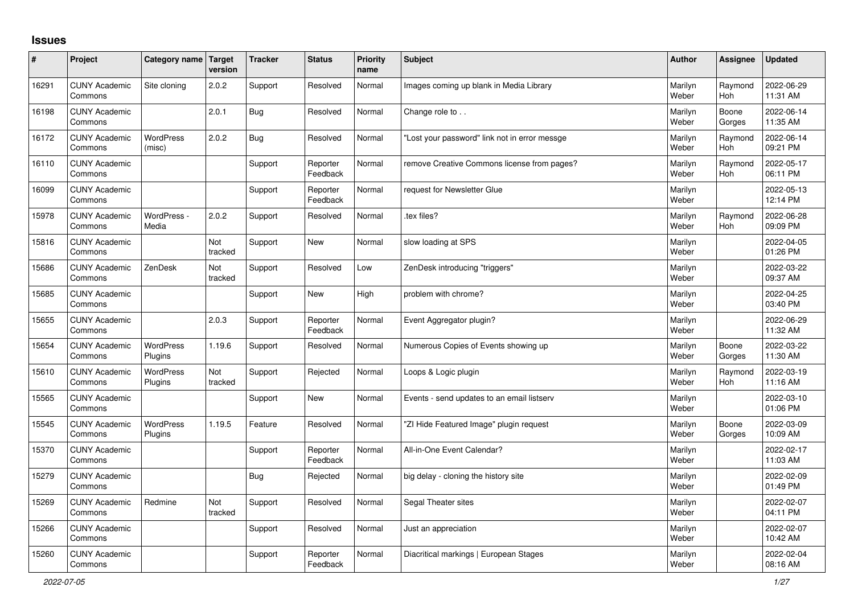## **Issues**

| ∦     | Project                         | Category name Target        | version        | <b>Tracker</b> | <b>Status</b>        | <b>Priority</b><br>name | <b>Subject</b>                                | Author           | Assignee              | <b>Updated</b>         |
|-------|---------------------------------|-----------------------------|----------------|----------------|----------------------|-------------------------|-----------------------------------------------|------------------|-----------------------|------------------------|
| 16291 | <b>CUNY Academic</b><br>Commons | Site cloning                | 2.0.2          | Support        | Resolved             | Normal                  | Images coming up blank in Media Library       | Marilyn<br>Weber | Raymond<br>Hoh        | 2022-06-29<br>11:31 AM |
| 16198 | <b>CUNY Academic</b><br>Commons |                             | 2.0.1          | <b>Bug</b>     | Resolved             | Normal                  | Change role to                                | Marilyn<br>Weber | Boone<br>Gorges       | 2022-06-14<br>11:35 AM |
| 16172 | <b>CUNY Academic</b><br>Commons | <b>WordPress</b><br>(misc)  | 2.0.2          | <b>Bug</b>     | Resolved             | Normal                  | 'Lost your password" link not in error messge | Marilyn<br>Weber | Raymond<br><b>Hoh</b> | 2022-06-14<br>09:21 PM |
| 16110 | <b>CUNY Academic</b><br>Commons |                             |                | Support        | Reporter<br>Feedback | Normal                  | remove Creative Commons license from pages?   | Marilyn<br>Weber | Raymond<br>Hoh        | 2022-05-17<br>06:11 PM |
| 16099 | <b>CUNY Academic</b><br>Commons |                             |                | Support        | Reporter<br>Feedback | Normal                  | request for Newsletter Glue                   | Marilyn<br>Weber |                       | 2022-05-13<br>12:14 PM |
| 15978 | <b>CUNY Academic</b><br>Commons | WordPress -<br>Media        | 2.0.2          | Support        | Resolved             | Normal                  | tex files?                                    | Marilyn<br>Weber | Raymond<br><b>Hoh</b> | 2022-06-28<br>09:09 PM |
| 15816 | <b>CUNY Academic</b><br>Commons |                             | Not<br>tracked | Support        | <b>New</b>           | Normal                  | slow loading at SPS                           | Marilyn<br>Weber |                       | 2022-04-05<br>01:26 PM |
| 15686 | <b>CUNY Academic</b><br>Commons | ZenDesk                     | Not<br>tracked | Support        | Resolved             | Low                     | ZenDesk introducing "triggers"                | Marilyn<br>Weber |                       | 2022-03-22<br>09:37 AM |
| 15685 | <b>CUNY Academic</b><br>Commons |                             |                | Support        | <b>New</b>           | High                    | problem with chrome?                          | Marilyn<br>Weber |                       | 2022-04-25<br>03:40 PM |
| 15655 | <b>CUNY Academic</b><br>Commons |                             | 2.0.3          | Support        | Reporter<br>Feedback | Normal                  | Event Aggregator plugin?                      | Marilyn<br>Weber |                       | 2022-06-29<br>11:32 AM |
| 15654 | <b>CUNY Academic</b><br>Commons | WordPress<br>Plugins        | 1.19.6         | Support        | Resolved             | Normal                  | Numerous Copies of Events showing up          | Marilyn<br>Weber | Boone<br>Gorges       | 2022-03-22<br>11:30 AM |
| 15610 | <b>CUNY Academic</b><br>Commons | <b>WordPress</b><br>Plugins | Not<br>tracked | Support        | Rejected             | Normal                  | Loops & Logic plugin                          | Marilyn<br>Weber | Raymond<br><b>Hoh</b> | 2022-03-19<br>11:16 AM |
| 15565 | <b>CUNY Academic</b><br>Commons |                             |                | Support        | <b>New</b>           | Normal                  | Events - send updates to an email listserv    | Marilyn<br>Weber |                       | 2022-03-10<br>01:06 PM |
| 15545 | <b>CUNY Academic</b><br>Commons | WordPress<br>Plugins        | 1.19.5         | Feature        | Resolved             | Normal                  | "ZI Hide Featured Image" plugin request       | Marilyn<br>Weber | Boone<br>Gorges       | 2022-03-09<br>10:09 AM |
| 15370 | <b>CUNY Academic</b><br>Commons |                             |                | Support        | Reporter<br>Feedback | Normal                  | All-in-One Event Calendar?                    | Marilyn<br>Weber |                       | 2022-02-17<br>11:03 AM |
| 15279 | <b>CUNY Academic</b><br>Commons |                             |                | Bug            | Rejected             | Normal                  | big delay - cloning the history site          | Marilyn<br>Weber |                       | 2022-02-09<br>01:49 PM |
| 15269 | <b>CUNY Academic</b><br>Commons | Redmine                     | Not<br>tracked | Support        | Resolved             | Normal                  | Segal Theater sites                           | Marilyn<br>Weber |                       | 2022-02-07<br>04:11 PM |
| 15266 | <b>CUNY Academic</b><br>Commons |                             |                | Support        | Resolved             | Normal                  | Just an appreciation                          | Marilyn<br>Weber |                       | 2022-02-07<br>10:42 AM |
| 15260 | <b>CUNY Academic</b><br>Commons |                             |                | Support        | Reporter<br>Feedback | Normal                  | Diacritical markings   European Stages        | Marilyn<br>Weber |                       | 2022-02-04<br>08:16 AM |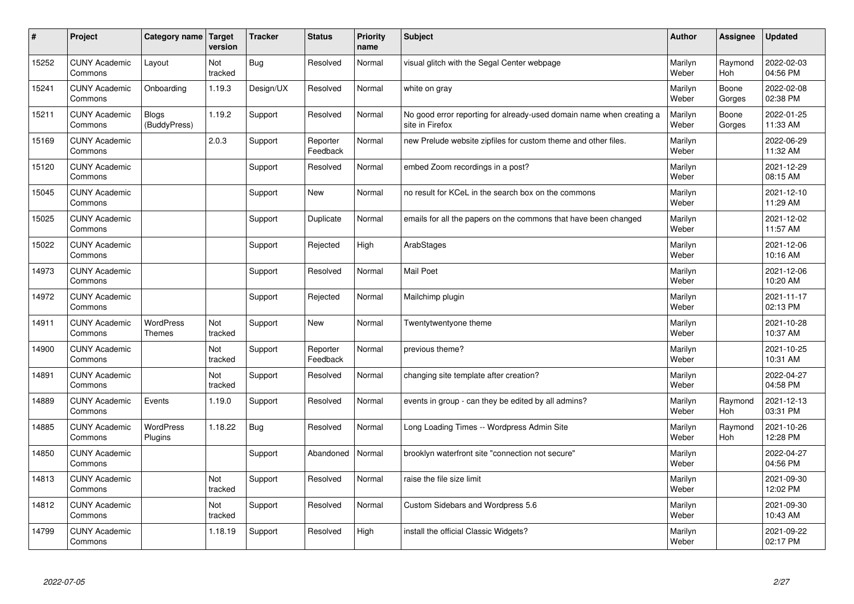| $\vert$ # | Project                         | Category name   Target       | version        | <b>Tracker</b> | <b>Status</b>        | <b>Priority</b><br>name | <b>Subject</b>                                                                          | <b>Author</b>    | Assignee              | Updated                |
|-----------|---------------------------------|------------------------------|----------------|----------------|----------------------|-------------------------|-----------------------------------------------------------------------------------------|------------------|-----------------------|------------------------|
| 15252     | <b>CUNY Academic</b><br>Commons | Layout                       | Not<br>tracked | Bug            | Resolved             | Normal                  | visual glitch with the Segal Center webpage                                             | Marilyn<br>Weber | Raymond<br><b>Hoh</b> | 2022-02-03<br>04:56 PM |
| 15241     | <b>CUNY Academic</b><br>Commons | Onboarding                   | 1.19.3         | Design/UX      | Resolved             | Normal                  | white on gray                                                                           | Marilyn<br>Weber | Boone<br>Gorges       | 2022-02-08<br>02:38 PM |
| 15211     | <b>CUNY Academic</b><br>Commons | <b>Blogs</b><br>(BuddyPress) | 1.19.2         | Support        | Resolved             | Normal                  | No good error reporting for already-used domain name when creating a<br>site in Firefox | Marilyn<br>Weber | Boone<br>Gorges       | 2022-01-25<br>11:33 AM |
| 15169     | <b>CUNY Academic</b><br>Commons |                              | 2.0.3          | Support        | Reporter<br>Feedback | Normal                  | new Prelude website zipfiles for custom theme and other files.                          | Marilyn<br>Weber |                       | 2022-06-29<br>11:32 AM |
| 15120     | <b>CUNY Academic</b><br>Commons |                              |                | Support        | Resolved             | Normal                  | embed Zoom recordings in a post?                                                        | Marilyn<br>Weber |                       | 2021-12-29<br>08:15 AM |
| 15045     | <b>CUNY Academic</b><br>Commons |                              |                | Support        | <b>New</b>           | Normal                  | no result for KCeL in the search box on the commons                                     | Marilyn<br>Weber |                       | 2021-12-10<br>11:29 AM |
| 15025     | <b>CUNY Academic</b><br>Commons |                              |                | Support        | Duplicate            | Normal                  | emails for all the papers on the commons that have been changed                         | Marilyn<br>Weber |                       | 2021-12-02<br>11:57 AM |
| 15022     | <b>CUNY Academic</b><br>Commons |                              |                | Support        | Rejected             | High                    | ArabStages                                                                              | Marilyn<br>Weber |                       | 2021-12-06<br>10:16 AM |
| 14973     | <b>CUNY Academic</b><br>Commons |                              |                | Support        | Resolved             | Normal                  | <b>Mail Poet</b>                                                                        | Marilyn<br>Weber |                       | 2021-12-06<br>10:20 AM |
| 14972     | <b>CUNY Academic</b><br>Commons |                              |                | Support        | Rejected             | Normal                  | Mailchimp plugin                                                                        | Marilyn<br>Weber |                       | 2021-11-17<br>02:13 PM |
| 14911     | <b>CUNY Academic</b><br>Commons | WordPress<br><b>Themes</b>   | Not<br>tracked | Support        | New                  | Normal                  | Twentytwentyone theme                                                                   | Marilyn<br>Weber |                       | 2021-10-28<br>10:37 AM |
| 14900     | <b>CUNY Academic</b><br>Commons |                              | Not<br>tracked | Support        | Reporter<br>Feedback | Normal                  | previous theme?                                                                         | Marilyn<br>Weber |                       | 2021-10-25<br>10:31 AM |
| 14891     | <b>CUNY Academic</b><br>Commons |                              | Not<br>tracked | Support        | Resolved             | Normal                  | changing site template after creation?                                                  | Marilyn<br>Weber |                       | 2022-04-27<br>04:58 PM |
| 14889     | <b>CUNY Academic</b><br>Commons | Events                       | 1.19.0         | Support        | Resolved             | Normal                  | events in group - can they be edited by all admins?                                     | Marilyn<br>Weber | Raymond<br><b>Hoh</b> | 2021-12-13<br>03:31 PM |
| 14885     | <b>CUNY Academic</b><br>Commons | <b>WordPress</b><br>Plugins  | 1.18.22        | <b>Bug</b>     | Resolved             | Normal                  | Long Loading Times -- Wordpress Admin Site                                              | Marilyn<br>Weber | Raymond<br><b>Hoh</b> | 2021-10-26<br>12:28 PM |
| 14850     | <b>CUNY Academic</b><br>Commons |                              |                | Support        | Abandoned            | Normal                  | brooklyn waterfront site "connection not secure"                                        | Marilyn<br>Weber |                       | 2022-04-27<br>04:56 PM |
| 14813     | <b>CUNY Academic</b><br>Commons |                              | Not<br>tracked | Support        | Resolved             | Normal                  | raise the file size limit                                                               | Marilyn<br>Weber |                       | 2021-09-30<br>12:02 PM |
| 14812     | <b>CUNY Academic</b><br>Commons |                              | Not<br>tracked | Support        | Resolved             | Normal                  | Custom Sidebars and Wordpress 5.6                                                       | Marilyn<br>Weber |                       | 2021-09-30<br>10:43 AM |
| 14799     | <b>CUNY Academic</b><br>Commons |                              | 1.18.19        | Support        | Resolved             | High                    | install the official Classic Widgets?                                                   | Marilyn<br>Weber |                       | 2021-09-22<br>02:17 PM |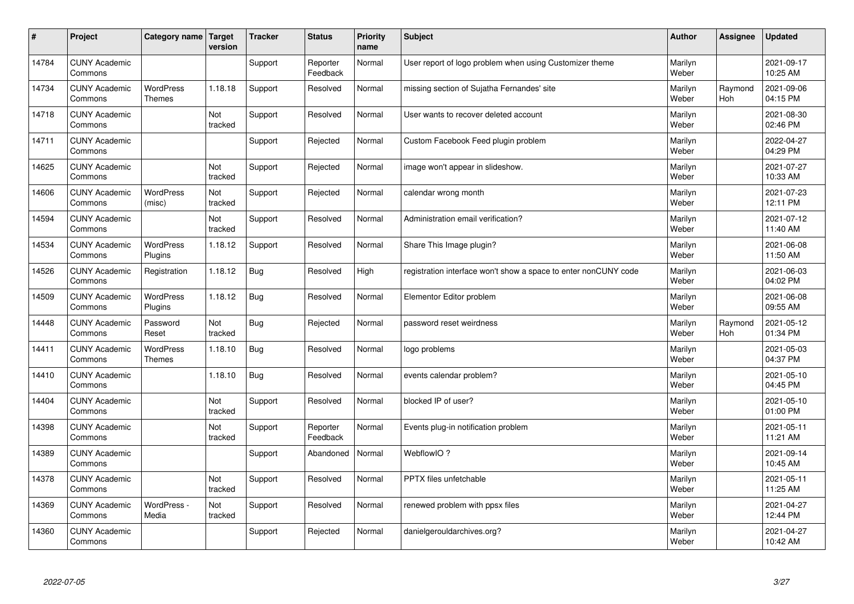| #     | Project                         | Category name   Target            | version        | <b>Tracker</b> | <b>Status</b>        | <b>Priority</b><br>name | <b>Subject</b>                                                  | <b>Author</b>    | Assignee              | <b>Updated</b>         |
|-------|---------------------------------|-----------------------------------|----------------|----------------|----------------------|-------------------------|-----------------------------------------------------------------|------------------|-----------------------|------------------------|
| 14784 | <b>CUNY Academic</b><br>Commons |                                   |                | Support        | Reporter<br>Feedback | Normal                  | User report of logo problem when using Customizer theme         | Marilyn<br>Weber |                       | 2021-09-17<br>10:25 AM |
| 14734 | <b>CUNY Academic</b><br>Commons | <b>WordPress</b><br><b>Themes</b> | 1.18.18        | Support        | Resolved             | Normal                  | missing section of Sujatha Fernandes' site                      | Marilyn<br>Weber | Raymond<br><b>Hoh</b> | 2021-09-06<br>04:15 PM |
| 14718 | <b>CUNY Academic</b><br>Commons |                                   | Not<br>tracked | Support        | Resolved             | Normal                  | User wants to recover deleted account                           | Marilyn<br>Weber |                       | 2021-08-30<br>02:46 PM |
| 14711 | <b>CUNY Academic</b><br>Commons |                                   |                | Support        | Rejected             | Normal                  | Custom Facebook Feed plugin problem                             | Marilyn<br>Weber |                       | 2022-04-27<br>04:29 PM |
| 14625 | <b>CUNY Academic</b><br>Commons |                                   | Not<br>tracked | Support        | Rejected             | Normal                  | image won't appear in slideshow.                                | Marilyn<br>Weber |                       | 2021-07-27<br>10:33 AM |
| 14606 | <b>CUNY Academic</b><br>Commons | <b>WordPress</b><br>(misc)        | Not<br>tracked | Support        | Rejected             | Normal                  | calendar wrong month                                            | Marilyn<br>Weber |                       | 2021-07-23<br>12:11 PM |
| 14594 | <b>CUNY Academic</b><br>Commons |                                   | Not<br>tracked | Support        | Resolved             | Normal                  | Administration email verification?                              | Marilyn<br>Weber |                       | 2021-07-12<br>11:40 AM |
| 14534 | <b>CUNY Academic</b><br>Commons | WordPress<br>Plugins              | 1.18.12        | Support        | Resolved             | Normal                  | Share This Image plugin?                                        | Marilyn<br>Weber |                       | 2021-06-08<br>11:50 AM |
| 14526 | <b>CUNY Academic</b><br>Commons | Registration                      | 1.18.12        | Bug            | Resolved             | High                    | registration interface won't show a space to enter nonCUNY code | Marilyn<br>Weber |                       | 2021-06-03<br>04:02 PM |
| 14509 | <b>CUNY Academic</b><br>Commons | WordPress<br>Plugins              | 1.18.12        | Bug            | Resolved             | Normal                  | Elementor Editor problem                                        | Marilyn<br>Weber |                       | 2021-06-08<br>09:55 AM |
| 14448 | <b>CUNY Academic</b><br>Commons | Password<br>Reset                 | Not<br>tracked | <b>Bug</b>     | Rejected             | Normal                  | password reset weirdness                                        | Marilyn<br>Weber | Raymond<br><b>Hoh</b> | 2021-05-12<br>01:34 PM |
| 14411 | <b>CUNY Academic</b><br>Commons | WordPress<br><b>Themes</b>        | 1.18.10        | Bug            | Resolved             | Normal                  | logo problems                                                   | Marilyn<br>Weber |                       | 2021-05-03<br>04:37 PM |
| 14410 | <b>CUNY Academic</b><br>Commons |                                   | 1.18.10        | <b>Bug</b>     | Resolved             | Normal                  | events calendar problem?                                        | Marilyn<br>Weber |                       | 2021-05-10<br>04:45 PM |
| 14404 | <b>CUNY Academic</b><br>Commons |                                   | Not<br>tracked | Support        | Resolved             | Normal                  | blocked IP of user?                                             | Marilyn<br>Weber |                       | 2021-05-10<br>01:00 PM |
| 14398 | <b>CUNY Academic</b><br>Commons |                                   | Not<br>tracked | Support        | Reporter<br>Feedback | Normal                  | Events plug-in notification problem                             | Marilyn<br>Weber |                       | 2021-05-11<br>11:21 AM |
| 14389 | <b>CUNY Academic</b><br>Commons |                                   |                | Support        | Abandoned            | Normal                  | WebflowIO?                                                      | Marilyn<br>Weber |                       | 2021-09-14<br>10:45 AM |
| 14378 | <b>CUNY Academic</b><br>Commons |                                   | Not<br>tracked | Support        | Resolved             | Normal                  | PPTX files unfetchable                                          | Marilyn<br>Weber |                       | 2021-05-11<br>11:25 AM |
| 14369 | <b>CUNY Academic</b><br>Commons | WordPress -<br>Media              | Not<br>tracked | Support        | Resolved             | Normal                  | renewed problem with ppsx files                                 | Marilyn<br>Weber |                       | 2021-04-27<br>12:44 PM |
| 14360 | <b>CUNY Academic</b><br>Commons |                                   |                | Support        | Rejected             | Normal                  | danielgerouldarchives.org?                                      | Marilyn<br>Weber |                       | 2021-04-27<br>10:42 AM |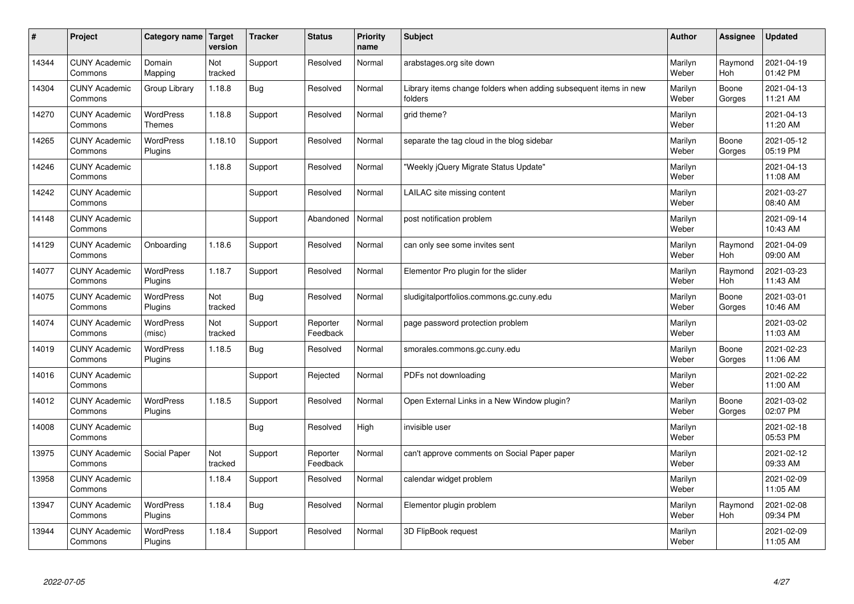| $\sharp$ | Project                         | Category name   Target            | version        | <b>Tracker</b> | <b>Status</b>        | <b>Priority</b><br>name | <b>Subject</b>                                                              | <b>Author</b>    | Assignee              | <b>Updated</b>         |
|----------|---------------------------------|-----------------------------------|----------------|----------------|----------------------|-------------------------|-----------------------------------------------------------------------------|------------------|-----------------------|------------------------|
| 14344    | <b>CUNY Academic</b><br>Commons | Domain<br>Mapping                 | Not<br>tracked | Support        | Resolved             | Normal                  | arabstages.org site down                                                    | Marilyn<br>Weber | Raymond<br>Hoh        | 2021-04-19<br>01:42 PM |
| 14304    | <b>CUNY Academic</b><br>Commons | Group Library                     | 1.18.8         | Bug            | Resolved             | Normal                  | Library items change folders when adding subsequent items in new<br>folders | Marilyn<br>Weber | Boone<br>Gorges       | 2021-04-13<br>11:21 AM |
| 14270    | <b>CUNY Academic</b><br>Commons | <b>WordPress</b><br><b>Themes</b> | 1.18.8         | Support        | Resolved             | Normal                  | grid theme?                                                                 | Marilyn<br>Weber |                       | 2021-04-13<br>11:20 AM |
| 14265    | <b>CUNY Academic</b><br>Commons | <b>WordPress</b><br>Plugins       | 1.18.10        | Support        | Resolved             | Normal                  | separate the tag cloud in the blog sidebar                                  | Marilyn<br>Weber | Boone<br>Gorges       | 2021-05-12<br>05:19 PM |
| 14246    | <b>CUNY Academic</b><br>Commons |                                   | 1.18.8         | Support        | Resolved             | Normal                  | 'Weekly jQuery Migrate Status Update"                                       | Marilyn<br>Weber |                       | 2021-04-13<br>11:08 AM |
| 14242    | <b>CUNY Academic</b><br>Commons |                                   |                | Support        | Resolved             | Normal                  | LAILAC site missing content                                                 | Marilyn<br>Weber |                       | 2021-03-27<br>08:40 AM |
| 14148    | <b>CUNY Academic</b><br>Commons |                                   |                | Support        | Abandoned            | Normal                  | post notification problem                                                   | Marilyn<br>Weber |                       | 2021-09-14<br>10:43 AM |
| 14129    | <b>CUNY Academic</b><br>Commons | Onboarding                        | 1.18.6         | Support        | Resolved             | Normal                  | can only see some invites sent                                              | Marilyn<br>Weber | Raymond<br>Hoh        | 2021-04-09<br>09:00 AM |
| 14077    | <b>CUNY Academic</b><br>Commons | <b>WordPress</b><br>Plugins       | 1.18.7         | Support        | Resolved             | Normal                  | Elementor Pro plugin for the slider                                         | Marilyn<br>Weber | Raymond<br><b>Hoh</b> | 2021-03-23<br>11:43 AM |
| 14075    | <b>CUNY Academic</b><br>Commons | WordPress<br>Plugins              | Not<br>tracked | Bug            | Resolved             | Normal                  | sludigitalportfolios.commons.gc.cuny.edu                                    | Marilyn<br>Weber | Boone<br>Gorges       | 2021-03-01<br>10:46 AM |
| 14074    | <b>CUNY Academic</b><br>Commons | WordPress<br>(misc)               | Not<br>tracked | Support        | Reporter<br>Feedback | Normal                  | page password protection problem                                            | Marilyn<br>Weber |                       | 2021-03-02<br>11:03 AM |
| 14019    | <b>CUNY Academic</b><br>Commons | WordPress<br>Plugins              | 1.18.5         | Bug            | Resolved             | Normal                  | smorales.commons.gc.cuny.edu                                                | Marilyn<br>Weber | Boone<br>Gorges       | 2021-02-23<br>11:06 AM |
| 14016    | <b>CUNY Academic</b><br>Commons |                                   |                | Support        | Rejected             | Normal                  | PDFs not downloading                                                        | Marilyn<br>Weber |                       | 2021-02-22<br>11:00 AM |
| 14012    | <b>CUNY Academic</b><br>Commons | <b>WordPress</b><br>Plugins       | 1.18.5         | Support        | Resolved             | Normal                  | Open External Links in a New Window plugin?                                 | Marilyn<br>Weber | Boone<br>Gorges       | 2021-03-02<br>02:07 PM |
| 14008    | <b>CUNY Academic</b><br>Commons |                                   |                | <b>Bug</b>     | Resolved             | High                    | invisible user                                                              | Marilyn<br>Weber |                       | 2021-02-18<br>05:53 PM |
| 13975    | <b>CUNY Academic</b><br>Commons | Social Paper                      | Not<br>tracked | Support        | Reporter<br>Feedback | Normal                  | can't approve comments on Social Paper paper                                | Marilyn<br>Weber |                       | 2021-02-12<br>09:33 AM |
| 13958    | <b>CUNY Academic</b><br>Commons |                                   | 1.18.4         | Support        | Resolved             | Normal                  | calendar widget problem                                                     | Marilyn<br>Weber |                       | 2021-02-09<br>11:05 AM |
| 13947    | <b>CUNY Academic</b><br>Commons | <b>WordPress</b><br>Plugins       | 1.18.4         | <b>Bug</b>     | Resolved             | Normal                  | Elementor plugin problem                                                    | Marilyn<br>Weber | Raymond<br>Hoh        | 2021-02-08<br>09:34 PM |
| 13944    | <b>CUNY Academic</b><br>Commons | <b>WordPress</b><br>Plugins       | 1.18.4         | Support        | Resolved             | Normal                  | 3D FlipBook request                                                         | Marilyn<br>Weber |                       | 2021-02-09<br>11:05 AM |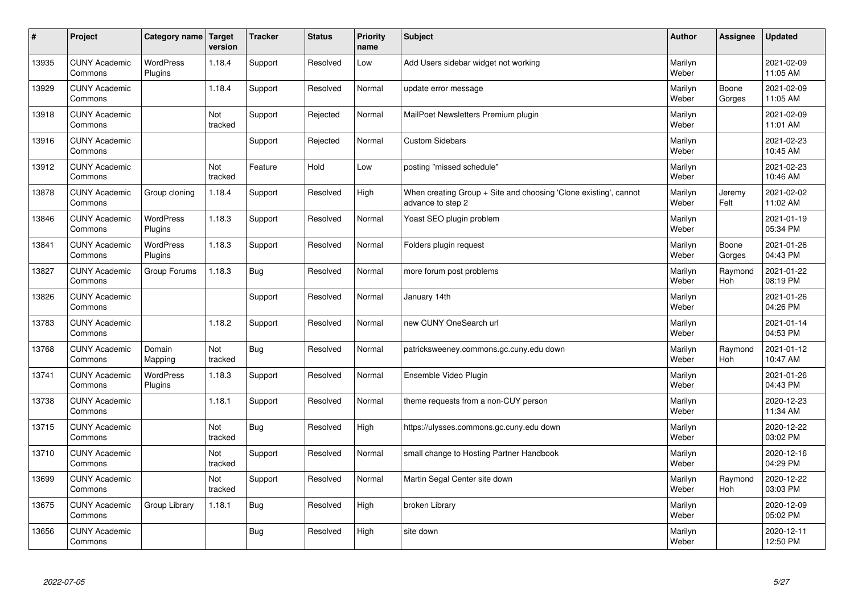| $\sharp$ | Project                         | Category name   Target      | version        | <b>Tracker</b> | <b>Status</b> | <b>Priority</b><br>name | <b>Subject</b>                                                                        | <b>Author</b>    | Assignee              | Updated                |
|----------|---------------------------------|-----------------------------|----------------|----------------|---------------|-------------------------|---------------------------------------------------------------------------------------|------------------|-----------------------|------------------------|
| 13935    | <b>CUNY Academic</b><br>Commons | <b>WordPress</b><br>Plugins | 1.18.4         | Support        | Resolved      | Low                     | Add Users sidebar widget not working                                                  | Marilyn<br>Weber |                       | 2021-02-09<br>11:05 AM |
| 13929    | <b>CUNY Academic</b><br>Commons |                             | 1.18.4         | Support        | Resolved      | Normal                  | update error message                                                                  | Marilyn<br>Weber | Boone<br>Gorges       | 2021-02-09<br>11:05 AM |
| 13918    | <b>CUNY Academic</b><br>Commons |                             | Not<br>tracked | Support        | Rejected      | Normal                  | MailPoet Newsletters Premium plugin                                                   | Marilyn<br>Weber |                       | 2021-02-09<br>11:01 AM |
| 13916    | <b>CUNY Academic</b><br>Commons |                             |                | Support        | Rejected      | Normal                  | <b>Custom Sidebars</b>                                                                | Marilyn<br>Weber |                       | 2021-02-23<br>10:45 AM |
| 13912    | <b>CUNY Academic</b><br>Commons |                             | Not<br>tracked | Feature        | Hold          | Low                     | posting "missed schedule"                                                             | Marilyn<br>Weber |                       | 2021-02-23<br>10:46 AM |
| 13878    | <b>CUNY Academic</b><br>Commons | Group cloning               | 1.18.4         | Support        | Resolved      | High                    | When creating Group + Site and choosing 'Clone existing', cannot<br>advance to step 2 | Marilyn<br>Weber | Jeremy<br>Felt        | 2021-02-02<br>11:02 AM |
| 13846    | <b>CUNY Academic</b><br>Commons | <b>WordPress</b><br>Plugins | 1.18.3         | Support        | Resolved      | Normal                  | Yoast SEO plugin problem                                                              | Marilyn<br>Weber |                       | 2021-01-19<br>05:34 PM |
| 13841    | <b>CUNY Academic</b><br>Commons | <b>WordPress</b><br>Plugins | 1.18.3         | Support        | Resolved      | Normal                  | Folders plugin request                                                                | Marilyn<br>Weber | Boone<br>Gorges       | 2021-01-26<br>04:43 PM |
| 13827    | <b>CUNY Academic</b><br>Commons | Group Forums                | 1.18.3         | Bug            | Resolved      | Normal                  | more forum post problems                                                              | Marilyn<br>Weber | Raymond<br>Hoh        | 2021-01-22<br>08:19 PM |
| 13826    | <b>CUNY Academic</b><br>Commons |                             |                | Support        | Resolved      | Normal                  | January 14th                                                                          | Marilyn<br>Weber |                       | 2021-01-26<br>04:26 PM |
| 13783    | <b>CUNY Academic</b><br>Commons |                             | 1.18.2         | Support        | Resolved      | Normal                  | new CUNY OneSearch url                                                                | Marilyn<br>Weber |                       | 2021-01-14<br>04:53 PM |
| 13768    | <b>CUNY Academic</b><br>Commons | Domain<br>Mapping           | Not<br>tracked | Bug            | Resolved      | Normal                  | patricksweeney.commons.gc.cuny.edu down                                               | Marilyn<br>Weber | Raymond<br>Hoh        | 2021-01-12<br>10:47 AM |
| 13741    | <b>CUNY Academic</b><br>Commons | <b>WordPress</b><br>Plugins | 1.18.3         | Support        | Resolved      | Normal                  | Ensemble Video Plugin                                                                 | Marilyn<br>Weber |                       | 2021-01-26<br>04:43 PM |
| 13738    | <b>CUNY Academic</b><br>Commons |                             | 1.18.1         | Support        | Resolved      | Normal                  | theme requests from a non-CUY person                                                  | Marilyn<br>Weber |                       | 2020-12-23<br>11:34 AM |
| 13715    | <b>CUNY Academic</b><br>Commons |                             | Not<br>tracked | <b>Bug</b>     | Resolved      | High                    | https://ulysses.commons.gc.cuny.edu down                                              | Marilyn<br>Weber |                       | 2020-12-22<br>03:02 PM |
| 13710    | <b>CUNY Academic</b><br>Commons |                             | Not<br>tracked | Support        | Resolved      | Normal                  | small change to Hosting Partner Handbook                                              | Marilyn<br>Weber |                       | 2020-12-16<br>04:29 PM |
| 13699    | <b>CUNY Academic</b><br>Commons |                             | Not<br>tracked | Support        | Resolved      | Normal                  | Martin Segal Center site down                                                         | Marilyn<br>Weber | Raymond<br><b>Hoh</b> | 2020-12-22<br>03:03 PM |
| 13675    | <b>CUNY Academic</b><br>Commons | Group Library               | 1.18.1         | Bug            | Resolved      | High                    | broken Library                                                                        | Marilyn<br>Weber |                       | 2020-12-09<br>05:02 PM |
| 13656    | <b>CUNY Academic</b><br>Commons |                             |                | <b>Bug</b>     | Resolved      | High                    | site down                                                                             | Marilyn<br>Weber |                       | 2020-12-11<br>12:50 PM |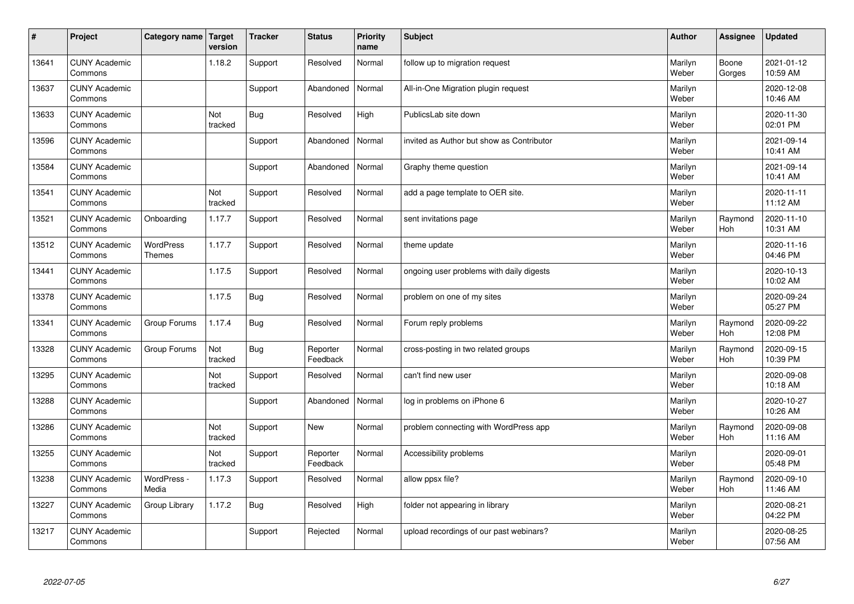| $\sharp$ | Project                         | Category name   Target     | version        | <b>Tracker</b> | <b>Status</b>        | <b>Priority</b><br>name | <b>Subject</b>                            | <b>Author</b>    | Assignee              | <b>Updated</b>         |
|----------|---------------------------------|----------------------------|----------------|----------------|----------------------|-------------------------|-------------------------------------------|------------------|-----------------------|------------------------|
| 13641    | <b>CUNY Academic</b><br>Commons |                            | 1.18.2         | Support        | Resolved             | Normal                  | follow up to migration request            | Marilyn<br>Weber | Boone<br>Gorges       | 2021-01-12<br>10:59 AM |
| 13637    | <b>CUNY Academic</b><br>Commons |                            |                | Support        | Abandoned            | Normal                  | All-in-One Migration plugin request       | Marilyn<br>Weber |                       | 2020-12-08<br>10:46 AM |
| 13633    | <b>CUNY Academic</b><br>Commons |                            | Not<br>tracked | Bug            | Resolved             | High                    | PublicsLab site down                      | Marilyn<br>Weber |                       | 2020-11-30<br>02:01 PM |
| 13596    | <b>CUNY Academic</b><br>Commons |                            |                | Support        | Abandoned            | Normal                  | invited as Author but show as Contributor | Marilyn<br>Weber |                       | 2021-09-14<br>10:41 AM |
| 13584    | <b>CUNY Academic</b><br>Commons |                            |                | Support        | Abandoned            | Normal                  | Graphy theme question                     | Marilyn<br>Weber |                       | 2021-09-14<br>10:41 AM |
| 13541    | <b>CUNY Academic</b><br>Commons |                            | Not<br>tracked | Support        | Resolved             | Normal                  | add a page template to OER site.          | Marilyn<br>Weber |                       | 2020-11-11<br>11:12 AM |
| 13521    | <b>CUNY Academic</b><br>Commons | Onboarding                 | 1.17.7         | Support        | Resolved             | Normal                  | sent invitations page                     | Marilyn<br>Weber | Raymond<br>Hoh        | 2020-11-10<br>10:31 AM |
| 13512    | <b>CUNY Academic</b><br>Commons | WordPress<br><b>Themes</b> | 1.17.7         | Support        | Resolved             | Normal                  | theme update                              | Marilyn<br>Weber |                       | 2020-11-16<br>04:46 PM |
| 13441    | <b>CUNY Academic</b><br>Commons |                            | 1.17.5         | Support        | Resolved             | Normal                  | ongoing user problems with daily digests  | Marilyn<br>Weber |                       | 2020-10-13<br>10:02 AM |
| 13378    | <b>CUNY Academic</b><br>Commons |                            | 1.17.5         | Bug            | Resolved             | Normal                  | problem on one of my sites                | Marilyn<br>Weber |                       | 2020-09-24<br>05:27 PM |
| 13341    | <b>CUNY Academic</b><br>Commons | Group Forums               | 1.17.4         | <b>Bug</b>     | Resolved             | Normal                  | Forum reply problems                      | Marilyn<br>Weber | Raymond<br><b>Hoh</b> | 2020-09-22<br>12:08 PM |
| 13328    | <b>CUNY Academic</b><br>Commons | Group Forums               | Not<br>tracked | <b>Bug</b>     | Reporter<br>Feedback | Normal                  | cross-posting in two related groups       | Marilyn<br>Weber | Raymond<br><b>Hoh</b> | 2020-09-15<br>10:39 PM |
| 13295    | <b>CUNY Academic</b><br>Commons |                            | Not<br>tracked | Support        | Resolved             | Normal                  | can't find new user                       | Marilyn<br>Weber |                       | 2020-09-08<br>10:18 AM |
| 13288    | <b>CUNY Academic</b><br>Commons |                            |                | Support        | Abandoned            | Normal                  | log in problems on iPhone 6               | Marilyn<br>Weber |                       | 2020-10-27<br>10:26 AM |
| 13286    | <b>CUNY Academic</b><br>Commons |                            | Not<br>tracked | Support        | <b>New</b>           | Normal                  | problem connecting with WordPress app     | Marilyn<br>Weber | Raymond<br><b>Hoh</b> | 2020-09-08<br>11:16 AM |
| 13255    | <b>CUNY Academic</b><br>Commons |                            | Not<br>tracked | Support        | Reporter<br>Feedback | Normal                  | Accessibility problems                    | Marilyn<br>Weber |                       | 2020-09-01<br>05:48 PM |
| 13238    | <b>CUNY Academic</b><br>Commons | WordPress -<br>Media       | 1.17.3         | Support        | Resolved             | Normal                  | allow ppsx file?                          | Marilyn<br>Weber | Raymond<br>Hoh        | 2020-09-10<br>11:46 AM |
| 13227    | <b>CUNY Academic</b><br>Commons | Group Library              | 1.17.2         | <b>Bug</b>     | Resolved             | High                    | folder not appearing in library           | Marilyn<br>Weber |                       | 2020-08-21<br>04:22 PM |
| 13217    | <b>CUNY Academic</b><br>Commons |                            |                | Support        | Rejected             | Normal                  | upload recordings of our past webinars?   | Marilyn<br>Weber |                       | 2020-08-25<br>07:56 AM |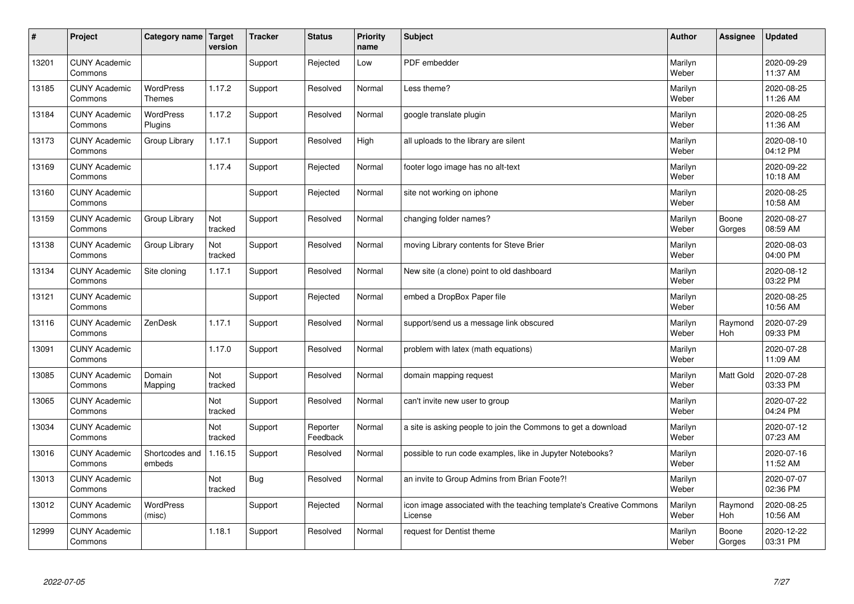| #     | Project                         | Category name   Target            | version        | <b>Tracker</b> | <b>Status</b>        | <b>Priority</b><br>name | <b>Subject</b>                                                                 | <b>Author</b>    | Assignee        | <b>Updated</b>         |
|-------|---------------------------------|-----------------------------------|----------------|----------------|----------------------|-------------------------|--------------------------------------------------------------------------------|------------------|-----------------|------------------------|
| 13201 | <b>CUNY Academic</b><br>Commons |                                   |                | Support        | Rejected             | Low                     | PDF embedder                                                                   | Marilyn<br>Weber |                 | 2020-09-29<br>11:37 AM |
| 13185 | <b>CUNY Academic</b><br>Commons | <b>WordPress</b><br><b>Themes</b> | 1.17.2         | Support        | Resolved             | Normal                  | Less theme?                                                                    | Marilyn<br>Weber |                 | 2020-08-25<br>11:26 AM |
| 13184 | <b>CUNY Academic</b><br>Commons | <b>WordPress</b><br>Plugins       | 1.17.2         | Support        | Resolved             | Normal                  | google translate plugin                                                        | Marilyn<br>Weber |                 | 2020-08-25<br>11:36 AM |
| 13173 | <b>CUNY Academic</b><br>Commons | Group Library                     | 1.17.1         | Support        | Resolved             | High                    | all uploads to the library are silent                                          | Marilyn<br>Weber |                 | 2020-08-10<br>04:12 PM |
| 13169 | <b>CUNY Academic</b><br>Commons |                                   | 1.17.4         | Support        | Rejected             | Normal                  | footer logo image has no alt-text                                              | Marilyn<br>Weber |                 | 2020-09-22<br>10:18 AM |
| 13160 | <b>CUNY Academic</b><br>Commons |                                   |                | Support        | Rejected             | Normal                  | site not working on iphone                                                     | Marilyn<br>Weber |                 | 2020-08-25<br>10:58 AM |
| 13159 | <b>CUNY Academic</b><br>Commons | Group Library                     | Not<br>tracked | Support        | Resolved             | Normal                  | changing folder names?                                                         | Marilyn<br>Weber | Boone<br>Gorges | 2020-08-27<br>08:59 AM |
| 13138 | <b>CUNY Academic</b><br>Commons | Group Library                     | Not<br>tracked | Support        | Resolved             | Normal                  | moving Library contents for Steve Brier                                        | Marilyn<br>Weber |                 | 2020-08-03<br>04:00 PM |
| 13134 | <b>CUNY Academic</b><br>Commons | Site cloning                      | 1.17.1         | Support        | Resolved             | Normal                  | New site (a clone) point to old dashboard                                      | Marilyn<br>Weber |                 | 2020-08-12<br>03:22 PM |
| 13121 | <b>CUNY Academic</b><br>Commons |                                   |                | Support        | Rejected             | Normal                  | embed a DropBox Paper file                                                     | Marilyn<br>Weber |                 | 2020-08-25<br>10:56 AM |
| 13116 | <b>CUNY Academic</b><br>Commons | ZenDesk                           | 1.17.1         | Support        | Resolved             | Normal                  | support/send us a message link obscured                                        | Marilyn<br>Weber | Raymond<br>Hoh  | 2020-07-29<br>09:33 PM |
| 13091 | <b>CUNY Academic</b><br>Commons |                                   | 1.17.0         | Support        | Resolved             | Normal                  | problem with latex (math equations)                                            | Marilyn<br>Weber |                 | 2020-07-28<br>11:09 AM |
| 13085 | <b>CUNY Academic</b><br>Commons | Domain<br>Mapping                 | Not<br>tracked | Support        | Resolved             | Normal                  | domain mapping request                                                         | Marilyn<br>Weber | Matt Gold       | 2020-07-28<br>03:33 PM |
| 13065 | <b>CUNY Academic</b><br>Commons |                                   | Not<br>tracked | Support        | Resolved             | Normal                  | can't invite new user to group                                                 | Marilyn<br>Weber |                 | 2020-07-22<br>04:24 PM |
| 13034 | <b>CUNY Academic</b><br>Commons |                                   | Not<br>tracked | Support        | Reporter<br>Feedback | Normal                  | a site is asking people to join the Commons to get a download                  | Marilyn<br>Weber |                 | 2020-07-12<br>07:23 AM |
| 13016 | <b>CUNY Academic</b><br>Commons | Shortcodes and<br>embeds          | 1.16.15        | Support        | Resolved             | Normal                  | possible to run code examples, like in Jupyter Notebooks?                      | Marilyn<br>Weber |                 | 2020-07-16<br>11:52 AM |
| 13013 | <b>CUNY Academic</b><br>Commons |                                   | Not<br>tracked | Bug            | Resolved             | Normal                  | an invite to Group Admins from Brian Foote?!                                   | Marilyn<br>Weber |                 | 2020-07-07<br>02:36 PM |
| 13012 | <b>CUNY Academic</b><br>Commons | <b>WordPress</b><br>(misc)        |                | Support        | Rejected             | Normal                  | icon image associated with the teaching template's Creative Commons<br>License | Marilyn<br>Weber | Raymond<br>Hoh  | 2020-08-25<br>10:56 AM |
| 12999 | <b>CUNY Academic</b><br>Commons |                                   | 1.18.1         | Support        | Resolved             | Normal                  | request for Dentist theme                                                      | Marilyn<br>Weber | Boone<br>Gorges | 2020-12-22<br>03:31 PM |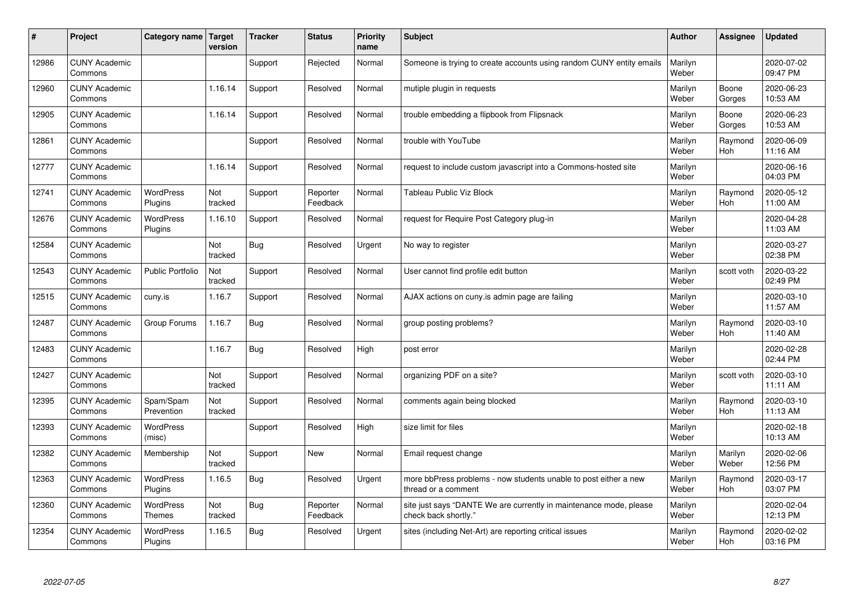| #     | Project                         | Category name   Target      | version        | <b>Tracker</b> | <b>Status</b>        | <b>Priority</b><br>name | <b>Subject</b>                                                                             | <b>Author</b>    | Assignee              | <b>Updated</b>         |
|-------|---------------------------------|-----------------------------|----------------|----------------|----------------------|-------------------------|--------------------------------------------------------------------------------------------|------------------|-----------------------|------------------------|
| 12986 | <b>CUNY Academic</b><br>Commons |                             |                | Support        | Rejected             | Normal                  | Someone is trying to create accounts using random CUNY entity emails                       | Marilyn<br>Weber |                       | 2020-07-02<br>09:47 PM |
| 12960 | <b>CUNY Academic</b><br>Commons |                             | 1.16.14        | Support        | Resolved             | Normal                  | mutiple plugin in requests                                                                 | Marilyn<br>Weber | Boone<br>Gorges       | 2020-06-23<br>10:53 AM |
| 12905 | <b>CUNY Academic</b><br>Commons |                             | 1.16.14        | Support        | Resolved             | Normal                  | trouble embedding a flipbook from Flipsnack                                                | Marilyn<br>Weber | Boone<br>Gorges       | 2020-06-23<br>10:53 AM |
| 12861 | <b>CUNY Academic</b><br>Commons |                             |                | Support        | Resolved             | Normal                  | trouble with YouTube                                                                       | Marilyn<br>Weber | Raymond<br>Hoh        | 2020-06-09<br>11:16 AM |
| 12777 | <b>CUNY Academic</b><br>Commons |                             | 1.16.14        | Support        | Resolved             | Normal                  | request to include custom javascript into a Commons-hosted site                            | Marilyn<br>Weber |                       | 2020-06-16<br>04:03 PM |
| 12741 | <b>CUNY Academic</b><br>Commons | <b>WordPress</b><br>Plugins | Not<br>tracked | Support        | Reporter<br>Feedback | Normal                  | Tableau Public Viz Block                                                                   | Marilyn<br>Weber | Raymond<br>Hoh        | 2020-05-12<br>11:00 AM |
| 12676 | <b>CUNY Academic</b><br>Commons | <b>WordPress</b><br>Plugins | 1.16.10        | Support        | Resolved             | Normal                  | request for Require Post Category plug-in                                                  | Marilyn<br>Weber |                       | 2020-04-28<br>11:03 AM |
| 12584 | <b>CUNY Academic</b><br>Commons |                             | Not<br>tracked | <b>Bug</b>     | Resolved             | Urgent                  | No way to register                                                                         | Marilyn<br>Weber |                       | 2020-03-27<br>02:38 PM |
| 12543 | <b>CUNY Academic</b><br>Commons | Public Portfolio            | Not<br>tracked | Support        | Resolved             | Normal                  | User cannot find profile edit button                                                       | Marilyn<br>Weber | scott voth            | 2020-03-22<br>02:49 PM |
| 12515 | <b>CUNY Academic</b><br>Commons | cuny.is                     | 1.16.7         | Support        | Resolved             | Normal                  | AJAX actions on cuny is admin page are failing                                             | Marilyn<br>Weber |                       | 2020-03-10<br>11:57 AM |
| 12487 | <b>CUNY Academic</b><br>Commons | Group Forums                | 1.16.7         | <b>Bug</b>     | Resolved             | Normal                  | group posting problems?                                                                    | Marilyn<br>Weber | Raymond<br>Hoh        | 2020-03-10<br>11:40 AM |
| 12483 | <b>CUNY Academic</b><br>Commons |                             | 1.16.7         | Bug            | Resolved             | High                    | post error                                                                                 | Marilyn<br>Weber |                       | 2020-02-28<br>02:44 PM |
| 12427 | <b>CUNY Academic</b><br>Commons |                             | Not<br>tracked | Support        | Resolved             | Normal                  | organizing PDF on a site?                                                                  | Marilyn<br>Weber | scott voth            | 2020-03-10<br>11:11 AM |
| 12395 | <b>CUNY Academic</b><br>Commons | Spam/Spam<br>Prevention     | Not<br>tracked | Support        | Resolved             | Normal                  | comments again being blocked                                                               | Marilyn<br>Weber | Raymond<br><b>Hoh</b> | 2020-03-10<br>11:13 AM |
| 12393 | <b>CUNY Academic</b><br>Commons | WordPress<br>(misc)         |                | Support        | Resolved             | High                    | size limit for files                                                                       | Marilyn<br>Weber |                       | 2020-02-18<br>10:13 AM |
| 12382 | <b>CUNY Academic</b><br>Commons | Membership                  | Not<br>tracked | Support        | <b>New</b>           | Normal                  | Email request change                                                                       | Marilyn<br>Weber | Marilyn<br>Weber      | 2020-02-06<br>12:56 PM |
| 12363 | <b>CUNY Academic</b><br>Commons | WordPress<br>Plugins        | 1.16.5         | Bug            | Resolved             | Urgent                  | more bbPress problems - now students unable to post either a new<br>thread or a comment    | Marilyn<br>Weber | Raymond<br><b>Hoh</b> | 2020-03-17<br>03:07 PM |
| 12360 | <b>CUNY Academic</b><br>Commons | WordPress<br><b>Themes</b>  | Not<br>tracked | <b>Bug</b>     | Reporter<br>Feedback | Normal                  | site just says "DANTE We are currently in maintenance mode, please<br>check back shortly." | Marilyn<br>Weber |                       | 2020-02-04<br>12:13 PM |
| 12354 | <b>CUNY Academic</b><br>Commons | <b>WordPress</b><br>Plugins | 1.16.5         | Bug            | Resolved             | Urgent                  | sites (including Net-Art) are reporting critical issues                                    | Marilyn<br>Weber | Raymond<br>Hoh        | 2020-02-02<br>03:16 PM |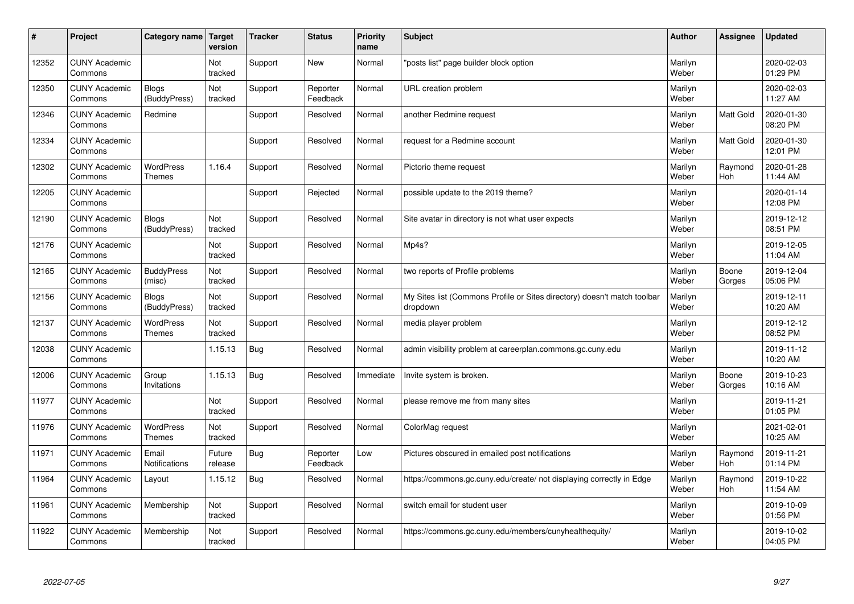| #     | Project                         | Category name   Target            | version           | <b>Tracker</b> | <b>Status</b>        | <b>Priority</b><br>name | <b>Subject</b>                                                                       | <b>Author</b>    | <b>Assignee</b>       | Updated                |
|-------|---------------------------------|-----------------------------------|-------------------|----------------|----------------------|-------------------------|--------------------------------------------------------------------------------------|------------------|-----------------------|------------------------|
| 12352 | <b>CUNY Academic</b><br>Commons |                                   | Not<br>tracked    | Support        | <b>New</b>           | Normal                  | 'posts list" page builder block option                                               | Marilyn<br>Weber |                       | 2020-02-03<br>01:29 PM |
| 12350 | <b>CUNY Academic</b><br>Commons | <b>Blogs</b><br>(BuddyPress)      | Not<br>tracked    | Support        | Reporter<br>Feedback | Normal                  | URL creation problem                                                                 | Marilyn<br>Weber |                       | 2020-02-03<br>11:27 AM |
| 12346 | <b>CUNY Academic</b><br>Commons | Redmine                           |                   | Support        | Resolved             | Normal                  | another Redmine request                                                              | Marilyn<br>Weber | Matt Gold             | 2020-01-30<br>08:20 PM |
| 12334 | <b>CUNY Academic</b><br>Commons |                                   |                   | Support        | Resolved             | Normal                  | request for a Redmine account                                                        | Marilyn<br>Weber | Matt Gold             | 2020-01-30<br>12:01 PM |
| 12302 | <b>CUNY Academic</b><br>Commons | WordPress<br><b>Themes</b>        | 1.16.4            | Support        | Resolved             | Normal                  | Pictorio theme request                                                               | Marilyn<br>Weber | Raymond<br>Hoh        | 2020-01-28<br>11:44 AM |
| 12205 | <b>CUNY Academic</b><br>Commons |                                   |                   | Support        | Rejected             | Normal                  | possible update to the 2019 theme?                                                   | Marilyn<br>Weber |                       | 2020-01-14<br>12:08 PM |
| 12190 | <b>CUNY Academic</b><br>Commons | <b>Blogs</b><br>(BuddyPress)      | Not<br>tracked    | Support        | Resolved             | Normal                  | Site avatar in directory is not what user expects                                    | Marilyn<br>Weber |                       | 2019-12-12<br>08:51 PM |
| 12176 | <b>CUNY Academic</b><br>Commons |                                   | Not<br>tracked    | Support        | Resolved             | Normal                  | Mp4s?                                                                                | Marilyn<br>Weber |                       | 2019-12-05<br>11:04 AM |
| 12165 | <b>CUNY Academic</b><br>Commons | <b>BuddyPress</b><br>(misc)       | Not<br>tracked    | Support        | Resolved             | Normal                  | two reports of Profile problems                                                      | Marilyn<br>Weber | Boone<br>Gorges       | 2019-12-04<br>05:06 PM |
| 12156 | <b>CUNY Academic</b><br>Commons | Blogs<br>(BuddyPress)             | Not<br>tracked    | Support        | Resolved             | Normal                  | My Sites list (Commons Profile or Sites directory) doesn't match toolbar<br>dropdown | Marilyn<br>Weber |                       | 2019-12-11<br>10:20 AM |
| 12137 | <b>CUNY Academic</b><br>Commons | <b>WordPress</b><br><b>Themes</b> | Not<br>tracked    | Support        | Resolved             | Normal                  | media player problem                                                                 | Marilyn<br>Weber |                       | 2019-12-12<br>08:52 PM |
| 12038 | <b>CUNY Academic</b><br>Commons |                                   | 1.15.13           | Bug            | Resolved             | Normal                  | admin visibility problem at careerplan.commons.gc.cuny.edu                           | Marilyn<br>Weber |                       | 2019-11-12<br>10:20 AM |
| 12006 | <b>CUNY Academic</b><br>Commons | Group<br>Invitations              | 1.15.13           | Bug            | Resolved             | Immediate               | Invite system is broken.                                                             | Marilyn<br>Weber | Boone<br>Gorges       | 2019-10-23<br>10:16 AM |
| 11977 | <b>CUNY Academic</b><br>Commons |                                   | Not<br>tracked    | Support        | Resolved             | Normal                  | please remove me from many sites                                                     | Marilyn<br>Weber |                       | 2019-11-21<br>01:05 PM |
| 11976 | <b>CUNY Academic</b><br>Commons | <b>WordPress</b><br>Themes        | Not<br>tracked    | Support        | Resolved             | Normal                  | ColorMag request                                                                     | Marilyn<br>Weber |                       | 2021-02-01<br>10:25 AM |
| 11971 | <b>CUNY Academic</b><br>Commons | Email<br>Notifications            | Future<br>release | <b>Bug</b>     | Reporter<br>Feedback | Low                     | Pictures obscured in emailed post notifications                                      | Marilyn<br>Weber | Raymond<br>Hoh        | 2019-11-21<br>01:14 PM |
| 11964 | <b>CUNY Academic</b><br>Commons | Layout                            | 1.15.12           | Bug            | Resolved             | Normal                  | https://commons.gc.cuny.edu/create/ not displaying correctly in Edge                 | Marilyn<br>Weber | Raymond<br><b>Hoh</b> | 2019-10-22<br>11:54 AM |
| 11961 | <b>CUNY Academic</b><br>Commons | Membership                        | Not<br>tracked    | Support        | Resolved             | Normal                  | switch email for student user                                                        | Marilyn<br>Weber |                       | 2019-10-09<br>01:56 PM |
| 11922 | <b>CUNY Academic</b><br>Commons | Membership                        | Not<br>tracked    | Support        | Resolved             | Normal                  | https://commons.gc.cuny.edu/members/cunyhealthequity/                                | Marilyn<br>Weber |                       | 2019-10-02<br>04:05 PM |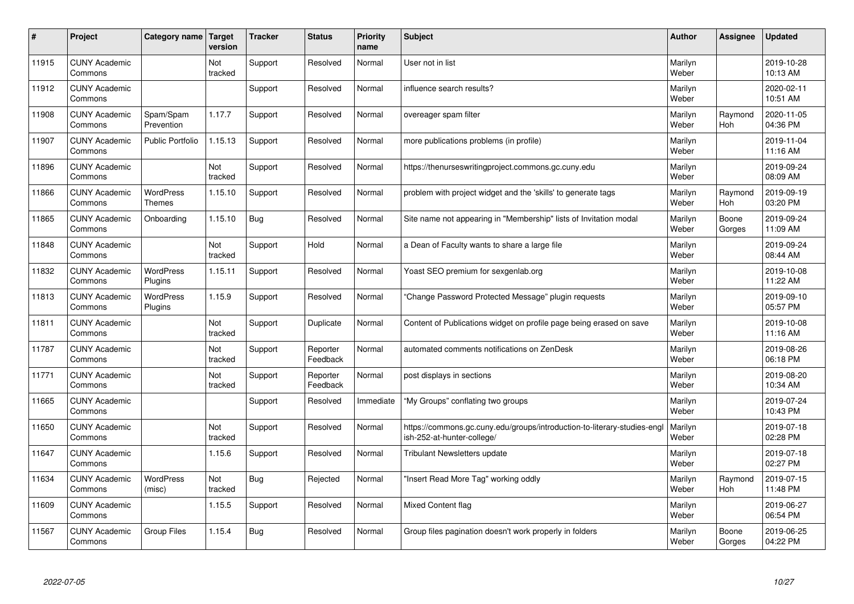| #     | Project                         | Category name   Target            | version        | <b>Tracker</b> | <b>Status</b>        | <b>Priority</b><br>name | <b>Subject</b>                                                                                         | <b>Author</b>    | Assignee        | <b>Updated</b>         |
|-------|---------------------------------|-----------------------------------|----------------|----------------|----------------------|-------------------------|--------------------------------------------------------------------------------------------------------|------------------|-----------------|------------------------|
| 11915 | <b>CUNY Academic</b><br>Commons |                                   | Not<br>tracked | Support        | Resolved             | Normal                  | User not in list                                                                                       | Marilyn<br>Weber |                 | 2019-10-28<br>10:13 AM |
| 11912 | <b>CUNY Academic</b><br>Commons |                                   |                | Support        | Resolved             | Normal                  | influence search results?                                                                              | Marilyn<br>Weber |                 | 2020-02-11<br>10:51 AM |
| 11908 | <b>CUNY Academic</b><br>Commons | Spam/Spam<br>Prevention           | 1.17.7         | Support        | Resolved             | Normal                  | overeager spam filter                                                                                  | Marilyn<br>Weber | Raymond<br>Hoh  | 2020-11-05<br>04:36 PM |
| 11907 | <b>CUNY Academic</b><br>Commons | <b>Public Portfolio</b>           | 1.15.13        | Support        | Resolved             | Normal                  | more publications problems (in profile)                                                                | Marilyn<br>Weber |                 | 2019-11-04<br>11:16 AM |
| 11896 | <b>CUNY Academic</b><br>Commons |                                   | Not<br>tracked | Support        | Resolved             | Normal                  | https://thenurseswritingproject.commons.gc.cuny.edu                                                    | Marilyn<br>Weber |                 | 2019-09-24<br>08:09 AM |
| 11866 | <b>CUNY Academic</b><br>Commons | <b>WordPress</b><br><b>Themes</b> | 1.15.10        | Support        | Resolved             | Normal                  | problem with project widget and the 'skills' to generate tags                                          | Marilyn<br>Weber | Raymond<br>Hoh  | 2019-09-19<br>03:20 PM |
| 11865 | <b>CUNY Academic</b><br>Commons | Onboarding                        | 1.15.10        | Bug            | Resolved             | Normal                  | Site name not appearing in "Membership" lists of Invitation modal                                      | Marilyn<br>Weber | Boone<br>Gorges | 2019-09-24<br>11:09 AM |
| 11848 | <b>CUNY Academic</b><br>Commons |                                   | Not<br>tracked | Support        | Hold                 | Normal                  | a Dean of Faculty wants to share a large file                                                          | Marilyn<br>Weber |                 | 2019-09-24<br>08:44 AM |
| 11832 | <b>CUNY Academic</b><br>Commons | <b>WordPress</b><br>Plugins       | 1.15.11        | Support        | Resolved             | Normal                  | Yoast SEO premium for sexgenlab.org                                                                    | Marilyn<br>Weber |                 | 2019-10-08<br>11:22 AM |
| 11813 | <b>CUNY Academic</b><br>Commons | <b>WordPress</b><br>Plugins       | 1.15.9         | Support        | Resolved             | Normal                  | 'Change Password Protected Message" plugin reguests                                                    | Marilyn<br>Weber |                 | 2019-09-10<br>05:57 PM |
| 11811 | <b>CUNY Academic</b><br>Commons |                                   | Not<br>tracked | Support        | Duplicate            | Normal                  | Content of Publications widget on profile page being erased on save                                    | Marilyn<br>Weber |                 | 2019-10-08<br>11:16 AM |
| 11787 | <b>CUNY Academic</b><br>Commons |                                   | Not<br>tracked | Support        | Reporter<br>Feedback | Normal                  | automated comments notifications on ZenDesk                                                            | Marilyn<br>Weber |                 | 2019-08-26<br>06:18 PM |
| 11771 | <b>CUNY Academic</b><br>Commons |                                   | Not<br>tracked | Support        | Reporter<br>Feedback | Normal                  | post displays in sections                                                                              | Marilyn<br>Weber |                 | 2019-08-20<br>10:34 AM |
| 11665 | <b>CUNY Academic</b><br>Commons |                                   |                | Support        | Resolved             | Immediate               | 'My Groups" conflating two groups                                                                      | Marilyn<br>Weber |                 | 2019-07-24<br>10:43 PM |
| 11650 | <b>CUNY Academic</b><br>Commons |                                   | Not<br>tracked | Support        | Resolved             | Normal                  | https://commons.gc.cuny.edu/groups/introduction-to-literary-studies-engl<br>ish-252-at-hunter-college/ | Marilyn<br>Weber |                 | 2019-07-18<br>02:28 PM |
| 11647 | <b>CUNY Academic</b><br>Commons |                                   | 1.15.6         | Support        | Resolved             | Normal                  | <b>Tribulant Newsletters update</b>                                                                    | Marilyn<br>Weber |                 | 2019-07-18<br>02:27 PM |
| 11634 | <b>CUNY Academic</b><br>Commons | WordPress<br>(misc)               | Not<br>tracked | Bug            | Rejected             | Normal                  | 'Insert Read More Tag" working oddly                                                                   | Marilyn<br>Weber | Raymond<br>Hoh  | 2019-07-15<br>11:48 PM |
| 11609 | <b>CUNY Academic</b><br>Commons |                                   | 1.15.5         | Support        | Resolved             | Normal                  | <b>Mixed Content flag</b>                                                                              | Marilyn<br>Weber |                 | 2019-06-27<br>06:54 PM |
| 11567 | <b>CUNY Academic</b><br>Commons | Group Files                       | 1.15.4         | Bug            | Resolved             | Normal                  | Group files pagination doesn't work properly in folders                                                | Marilyn<br>Weber | Boone<br>Gorges | 2019-06-25<br>04:22 PM |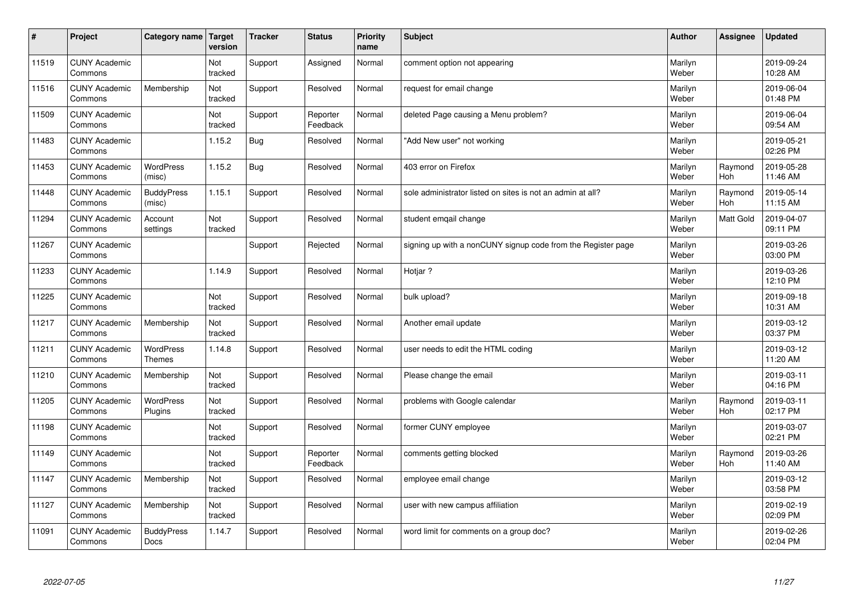| $\vert$ # | Project                         | Category name   Target            | version        | <b>Tracker</b> | <b>Status</b>        | <b>Priority</b><br>name | <b>Subject</b>                                               | <b>Author</b>    | <b>Assignee</b> | <b>Updated</b>         |
|-----------|---------------------------------|-----------------------------------|----------------|----------------|----------------------|-------------------------|--------------------------------------------------------------|------------------|-----------------|------------------------|
| 11519     | <b>CUNY Academic</b><br>Commons |                                   | Not<br>tracked | Support        | Assigned             | Normal                  | comment option not appearing                                 | Marilyn<br>Weber |                 | 2019-09-24<br>10:28 AM |
| 11516     | <b>CUNY Academic</b><br>Commons | Membership                        | Not<br>tracked | Support        | Resolved             | Normal                  | request for email change                                     | Marilyn<br>Weber |                 | 2019-06-04<br>01:48 PM |
| 11509     | <b>CUNY Academic</b><br>Commons |                                   | Not<br>tracked | Support        | Reporter<br>Feedback | Normal                  | deleted Page causing a Menu problem?                         | Marilyn<br>Weber |                 | 2019-06-04<br>09:54 AM |
| 11483     | <b>CUNY Academic</b><br>Commons |                                   | 1.15.2         | Bug            | Resolved             | Normal                  | 'Add New user" not working                                   | Marilyn<br>Weber |                 | 2019-05-21<br>02:26 PM |
| 11453     | <b>CUNY Academic</b><br>Commons | <b>WordPress</b><br>(misc)        | 1.15.2         | <b>Bug</b>     | Resolved             | Normal                  | 403 error on Firefox                                         | Marilyn<br>Weber | Raymond<br>Hoh  | 2019-05-28<br>11:46 AM |
| 11448     | <b>CUNY Academic</b><br>Commons | <b>BuddyPress</b><br>(misc)       | 1.15.1         | Support        | Resolved             | Normal                  | sole administrator listed on sites is not an admin at all?   | Marilyn<br>Weber | Raymond<br>Hoh  | 2019-05-14<br>11:15 AM |
| 11294     | <b>CUNY Academic</b><br>Commons | Account<br>settings               | Not<br>tracked | Support        | Resolved             | Normal                  | student emgail change                                        | Marilyn<br>Weber | Matt Gold       | 2019-04-07<br>09:11 PM |
| 11267     | <b>CUNY Academic</b><br>Commons |                                   |                | Support        | Rejected             | Normal                  | signing up with a nonCUNY signup code from the Register page | Marilyn<br>Weber |                 | 2019-03-26<br>03:00 PM |
| 11233     | <b>CUNY Academic</b><br>Commons |                                   | 1.14.9         | Support        | Resolved             | Normal                  | Hotiar?                                                      | Marilyn<br>Weber |                 | 2019-03-26<br>12:10 PM |
| 11225     | <b>CUNY Academic</b><br>Commons |                                   | Not<br>tracked | Support        | Resolved             | Normal                  | bulk upload?                                                 | Marilyn<br>Weber |                 | 2019-09-18<br>10:31 AM |
| 11217     | <b>CUNY Academic</b><br>Commons | Membership                        | Not<br>tracked | Support        | Resolved             | Normal                  | Another email update                                         | Marilyn<br>Weber |                 | 2019-03-12<br>03:37 PM |
| 11211     | <b>CUNY Academic</b><br>Commons | <b>WordPress</b><br><b>Themes</b> | 1.14.8         | Support        | Resolved             | Normal                  | user needs to edit the HTML coding                           | Marilyn<br>Weber |                 | 2019-03-12<br>11:20 AM |
| 11210     | <b>CUNY Academic</b><br>Commons | Membership                        | Not<br>tracked | Support        | Resolved             | Normal                  | Please change the email                                      | Marilyn<br>Weber |                 | 2019-03-11<br>04:16 PM |
| 11205     | <b>CUNY Academic</b><br>Commons | WordPress<br>Plugins              | Not<br>tracked | Support        | Resolved             | Normal                  | problems with Google calendar                                | Marilyn<br>Weber | Raymond<br>Hoh  | 2019-03-11<br>02:17 PM |
| 11198     | <b>CUNY Academic</b><br>Commons |                                   | Not<br>tracked | Support        | Resolved             | Normal                  | former CUNY employee                                         | Marilyn<br>Weber |                 | 2019-03-07<br>02:21 PM |
| 11149     | <b>CUNY Academic</b><br>Commons |                                   | Not<br>tracked | Support        | Reporter<br>Feedback | Normal                  | comments getting blocked                                     | Marilyn<br>Weber | Raymond<br>Hoh  | 2019-03-26<br>11:40 AM |
| 11147     | <b>CUNY Academic</b><br>Commons | Membership                        | Not<br>tracked | Support        | Resolved             | Normal                  | employee email change                                        | Marilyn<br>Weber |                 | 2019-03-12<br>03:58 PM |
| 11127     | <b>CUNY Academic</b><br>Commons | Membership                        | Not<br>tracked | Support        | Resolved             | Normal                  | user with new campus affiliation                             | Marilyn<br>Weber |                 | 2019-02-19<br>02:09 PM |
| 11091     | <b>CUNY Academic</b><br>Commons | <b>BuddyPress</b><br>Docs         | 1.14.7         | Support        | Resolved             | Normal                  | word limit for comments on a group doc?                      | Marilyn<br>Weber |                 | 2019-02-26<br>02:04 PM |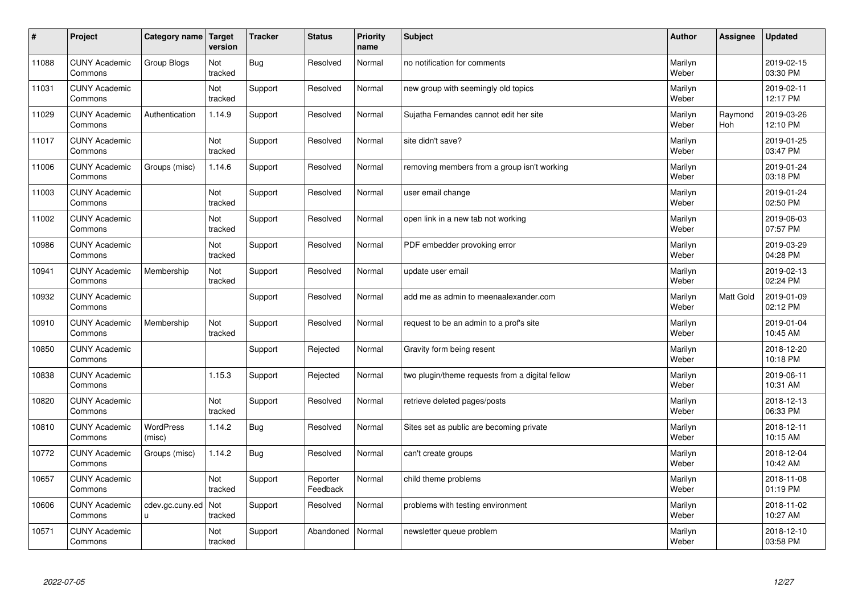| $\vert$ # | Project                         | Category name   Target     | version        | <b>Tracker</b> | <b>Status</b>        | <b>Priority</b><br>name | <b>Subject</b>                                  | <b>Author</b>    | <b>Assignee</b>       | <b>Updated</b>         |
|-----------|---------------------------------|----------------------------|----------------|----------------|----------------------|-------------------------|-------------------------------------------------|------------------|-----------------------|------------------------|
| 11088     | <b>CUNY Academic</b><br>Commons | Group Blogs                | Not<br>tracked | <b>Bug</b>     | Resolved             | Normal                  | no notification for comments                    | Marilyn<br>Weber |                       | 2019-02-15<br>03:30 PM |
| 11031     | <b>CUNY Academic</b><br>Commons |                            | Not<br>tracked | Support        | Resolved             | Normal                  | new group with seemingly old topics             | Marilyn<br>Weber |                       | 2019-02-11<br>12:17 PM |
| 11029     | <b>CUNY Academic</b><br>Commons | Authentication             | 1.14.9         | Support        | Resolved             | Normal                  | Sujatha Fernandes cannot edit her site          | Marilyn<br>Weber | Raymond<br><b>Hoh</b> | 2019-03-26<br>12:10 PM |
| 11017     | <b>CUNY Academic</b><br>Commons |                            | Not<br>tracked | Support        | Resolved             | Normal                  | site didn't save?                               | Marilyn<br>Weber |                       | 2019-01-25<br>03:47 PM |
| 11006     | <b>CUNY Academic</b><br>Commons | Groups (misc)              | 1.14.6         | Support        | Resolved             | Normal                  | removing members from a group isn't working     | Marilyn<br>Weber |                       | 2019-01-24<br>03:18 PM |
| 11003     | <b>CUNY Academic</b><br>Commons |                            | Not<br>tracked | Support        | Resolved             | Normal                  | user email change                               | Marilyn<br>Weber |                       | 2019-01-24<br>02:50 PM |
| 11002     | <b>CUNY Academic</b><br>Commons |                            | Not<br>tracked | Support        | Resolved             | Normal                  | open link in a new tab not working              | Marilyn<br>Weber |                       | 2019-06-03<br>07:57 PM |
| 10986     | <b>CUNY Academic</b><br>Commons |                            | Not<br>tracked | Support        | Resolved             | Normal                  | PDF embedder provoking error                    | Marilyn<br>Weber |                       | 2019-03-29<br>04:28 PM |
| 10941     | <b>CUNY Academic</b><br>Commons | Membership                 | Not<br>tracked | Support        | Resolved             | Normal                  | update user email                               | Marilyn<br>Weber |                       | 2019-02-13<br>02:24 PM |
| 10932     | <b>CUNY Academic</b><br>Commons |                            |                | Support        | Resolved             | Normal                  | add me as admin to meenaalexander.com           | Marilyn<br>Weber | Matt Gold             | 2019-01-09<br>02:12 PM |
| 10910     | <b>CUNY Academic</b><br>Commons | Membership                 | Not<br>tracked | Support        | Resolved             | Normal                  | request to be an admin to a prof's site         | Marilyn<br>Weber |                       | 2019-01-04<br>10:45 AM |
| 10850     | <b>CUNY Academic</b><br>Commons |                            |                | Support        | Rejected             | Normal                  | Gravity form being resent                       | Marilyn<br>Weber |                       | 2018-12-20<br>10:18 PM |
| 10838     | <b>CUNY Academic</b><br>Commons |                            | 1.15.3         | Support        | Rejected             | Normal                  | two plugin/theme requests from a digital fellow | Marilyn<br>Weber |                       | 2019-06-11<br>10:31 AM |
| 10820     | <b>CUNY Academic</b><br>Commons |                            | Not<br>tracked | Support        | Resolved             | Normal                  | retrieve deleted pages/posts                    | Marilyn<br>Weber |                       | 2018-12-13<br>06:33 PM |
| 10810     | <b>CUNY Academic</b><br>Commons | <b>WordPress</b><br>(misc) | 1.14.2         | Bug            | Resolved             | Normal                  | Sites set as public are becoming private        | Marilyn<br>Weber |                       | 2018-12-11<br>10:15 AM |
| 10772     | <b>CUNY Academic</b><br>Commons | Groups (misc)              | 1.14.2         | <b>Bug</b>     | Resolved             | Normal                  | can't create groups                             | Marilyn<br>Weber |                       | 2018-12-04<br>10:42 AM |
| 10657     | <b>CUNY Academic</b><br>Commons |                            | Not<br>tracked | Support        | Reporter<br>Feedback | Normal                  | child theme problems                            | Marilyn<br>Weber |                       | 2018-11-08<br>01:19 PM |
| 10606     | <b>CUNY Academic</b><br>Commons | cdev.gc.cuny.ed<br>u       | Not<br>tracked | Support        | Resolved             | Normal                  | problems with testing environment               | Marilyn<br>Weber |                       | 2018-11-02<br>10:27 AM |
| 10571     | <b>CUNY Academic</b><br>Commons |                            | Not<br>tracked | Support        | Abandoned            | Normal                  | newsletter queue problem                        | Marilyn<br>Weber |                       | 2018-12-10<br>03:58 PM |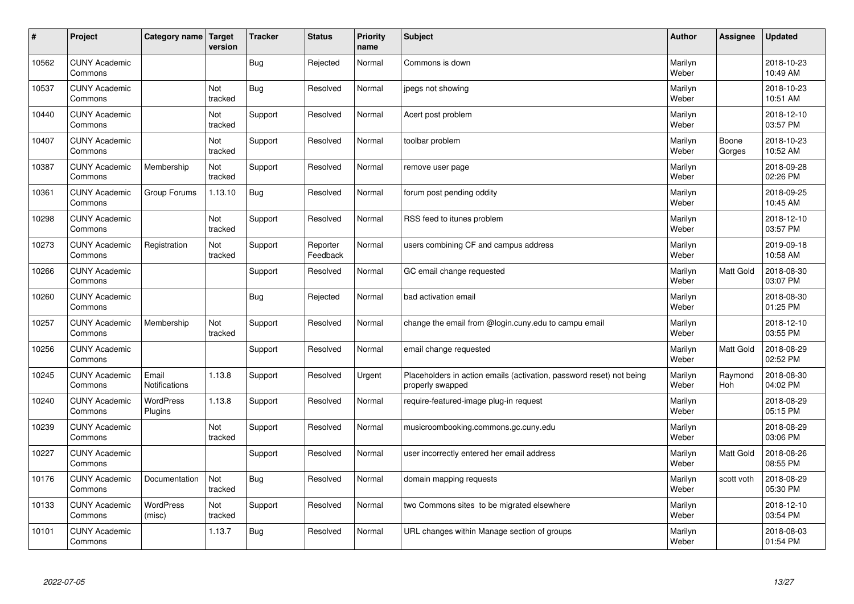| #     | Project                         | Category name   Target        | version        | <b>Tracker</b> | <b>Status</b>        | <b>Priority</b><br>name | <b>Subject</b>                                                                           | <b>Author</b>    | Assignee        | <b>Updated</b>         |
|-------|---------------------------------|-------------------------------|----------------|----------------|----------------------|-------------------------|------------------------------------------------------------------------------------------|------------------|-----------------|------------------------|
| 10562 | <b>CUNY Academic</b><br>Commons |                               |                | Bug            | Rejected             | Normal                  | Commons is down                                                                          | Marilyn<br>Weber |                 | 2018-10-23<br>10:49 AM |
| 10537 | <b>CUNY Academic</b><br>Commons |                               | Not<br>tracked | <b>Bug</b>     | Resolved             | Normal                  | jpegs not showing                                                                        | Marilyn<br>Weber |                 | 2018-10-23<br>10:51 AM |
| 10440 | <b>CUNY Academic</b><br>Commons |                               | Not<br>tracked | Support        | Resolved             | Normal                  | Acert post problem                                                                       | Marilyn<br>Weber |                 | 2018-12-10<br>03:57 PM |
| 10407 | <b>CUNY Academic</b><br>Commons |                               | Not<br>tracked | Support        | Resolved             | Normal                  | toolbar problem                                                                          | Marilyn<br>Weber | Boone<br>Gorges | 2018-10-23<br>10:52 AM |
| 10387 | <b>CUNY Academic</b><br>Commons | Membership                    | Not<br>tracked | Support        | Resolved             | Normal                  | remove user page                                                                         | Marilyn<br>Weber |                 | 2018-09-28<br>02:26 PM |
| 10361 | <b>CUNY Academic</b><br>Commons | Group Forums                  | 1.13.10        | <b>Bug</b>     | Resolved             | Normal                  | forum post pending oddity                                                                | Marilyn<br>Weber |                 | 2018-09-25<br>10:45 AM |
| 10298 | <b>CUNY Academic</b><br>Commons |                               | Not<br>tracked | Support        | Resolved             | Normal                  | RSS feed to itunes problem                                                               | Marilyn<br>Weber |                 | 2018-12-10<br>03:57 PM |
| 10273 | <b>CUNY Academic</b><br>Commons | Registration                  | Not<br>tracked | Support        | Reporter<br>Feedback | Normal                  | users combining CF and campus address                                                    | Marilyn<br>Weber |                 | 2019-09-18<br>10:58 AM |
| 10266 | <b>CUNY Academic</b><br>Commons |                               |                | Support        | Resolved             | Normal                  | GC email change requested                                                                | Marilyn<br>Weber | Matt Gold       | 2018-08-30<br>03:07 PM |
| 10260 | <b>CUNY Academic</b><br>Commons |                               |                | <b>Bug</b>     | Rejected             | Normal                  | bad activation email                                                                     | Marilyn<br>Weber |                 | 2018-08-30<br>01:25 PM |
| 10257 | <b>CUNY Academic</b><br>Commons | Membership                    | Not<br>tracked | Support        | Resolved             | Normal                  | change the email from @login.cuny.edu to campu email                                     | Marilyn<br>Weber |                 | 2018-12-10<br>03:55 PM |
| 10256 | <b>CUNY Academic</b><br>Commons |                               |                | Support        | Resolved             | Normal                  | email change requested                                                                   | Marilyn<br>Weber | Matt Gold       | 2018-08-29<br>02:52 PM |
| 10245 | <b>CUNY Academic</b><br>Commons | Email<br><b>Notifications</b> | 1.13.8         | Support        | Resolved             | Urgent                  | Placeholders in action emails (activation, password reset) not being<br>properly swapped | Marilyn<br>Weber | Raymond<br>Hoh  | 2018-08-30<br>04:02 PM |
| 10240 | <b>CUNY Academic</b><br>Commons | <b>WordPress</b><br>Plugins   | 1.13.8         | Support        | Resolved             | Normal                  | require-featured-image plug-in request                                                   | Marilyn<br>Weber |                 | 2018-08-29<br>05:15 PM |
| 10239 | <b>CUNY Academic</b><br>Commons |                               | Not<br>tracked | Support        | Resolved             | Normal                  | musicroombooking.commons.gc.cuny.edu                                                     | Marilyn<br>Weber |                 | 2018-08-29<br>03:06 PM |
| 10227 | <b>CUNY Academic</b><br>Commons |                               |                | Support        | Resolved             | Normal                  | user incorrectly entered her email address                                               | Marilyn<br>Weber | Matt Gold       | 2018-08-26<br>08:55 PM |
| 10176 | <b>CUNY Academic</b><br>Commons | Documentation                 | Not<br>tracked | <b>Bug</b>     | Resolved             | Normal                  | domain mapping requests                                                                  | Marilyn<br>Weber | scott voth      | 2018-08-29<br>05:30 PM |
| 10133 | <b>CUNY Academic</b><br>Commons | <b>WordPress</b><br>(misc)    | Not<br>tracked | Support        | Resolved             | Normal                  | two Commons sites to be migrated elsewhere                                               | Marilyn<br>Weber |                 | 2018-12-10<br>03:54 PM |
| 10101 | <b>CUNY Academic</b><br>Commons |                               | 1.13.7         | <b>Bug</b>     | Resolved             | Normal                  | URL changes within Manage section of groups                                              | Marilyn<br>Weber |                 | 2018-08-03<br>01:54 PM |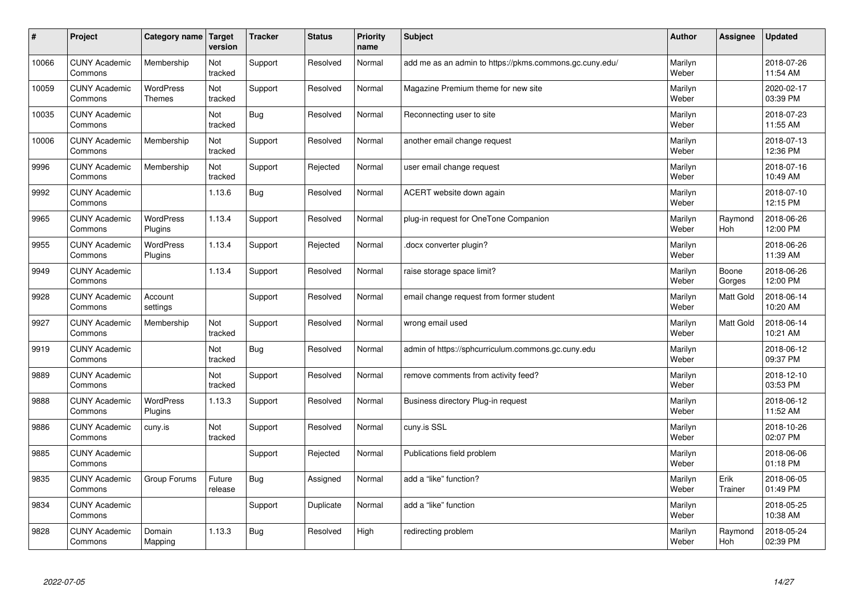| $\pmb{\sharp}$ | Project                         | Category name                     | <b>Target</b><br>version | <b>Tracker</b> | <b>Status</b> | <b>Priority</b><br>name | <b>Subject</b>                                          | <b>Author</b>    | Assignee        | <b>Updated</b>         |
|----------------|---------------------------------|-----------------------------------|--------------------------|----------------|---------------|-------------------------|---------------------------------------------------------|------------------|-----------------|------------------------|
| 10066          | <b>CUNY Academic</b><br>Commons | Membership                        | Not<br>tracked           | Support        | Resolved      | Normal                  | add me as an admin to https://pkms.commons.gc.cuny.edu/ | Marilyn<br>Weber |                 | 2018-07-26<br>11:54 AM |
| 10059          | <b>CUNY Academic</b><br>Commons | <b>WordPress</b><br><b>Themes</b> | Not<br>tracked           | Support        | Resolved      | Normal                  | Magazine Premium theme for new site                     | Marilyn<br>Weber |                 | 2020-02-17<br>03:39 PM |
| 10035          | <b>CUNY Academic</b><br>Commons |                                   | Not<br>tracked           | Bug            | Resolved      | Normal                  | Reconnecting user to site                               | Marilyn<br>Weber |                 | 2018-07-23<br>11:55 AM |
| 10006          | <b>CUNY Academic</b><br>Commons | Membership                        | Not<br>tracked           | Support        | Resolved      | Normal                  | another email change request                            | Marilyn<br>Weber |                 | 2018-07-13<br>12:36 PM |
| 9996           | <b>CUNY Academic</b><br>Commons | Membership                        | Not<br>tracked           | Support        | Rejected      | Normal                  | user email change request                               | Marilyn<br>Weber |                 | 2018-07-16<br>10:49 AM |
| 9992           | <b>CUNY Academic</b><br>Commons |                                   | 1.13.6                   | <b>Bug</b>     | Resolved      | Normal                  | ACERT website down again                                | Marilyn<br>Weber |                 | 2018-07-10<br>12:15 PM |
| 9965           | <b>CUNY Academic</b><br>Commons | <b>WordPress</b><br>Plugins       | 1.13.4                   | Support        | Resolved      | Normal                  | plug-in request for OneTone Companion                   | Marilyn<br>Weber | Raymond<br>Hoh  | 2018-06-26<br>12:00 PM |
| 9955           | <b>CUNY Academic</b><br>Commons | WordPress<br>Plugins              | 1.13.4                   | Support        | Rejected      | Normal                  | docx converter plugin?                                  | Marilyn<br>Weber |                 | 2018-06-26<br>11:39 AM |
| 9949           | <b>CUNY Academic</b><br>Commons |                                   | 1.13.4                   | Support        | Resolved      | Normal                  | raise storage space limit?                              | Marilyn<br>Weber | Boone<br>Gorges | 2018-06-26<br>12:00 PM |
| 9928           | <b>CUNY Academic</b><br>Commons | Account<br>settings               |                          | Support        | Resolved      | Normal                  | email change request from former student                | Marilyn<br>Weber | Matt Gold       | 2018-06-14<br>10:20 AM |
| 9927           | <b>CUNY Academic</b><br>Commons | Membership                        | Not<br>tracked           | Support        | Resolved      | Normal                  | wrong email used                                        | Marilyn<br>Weber | Matt Gold       | 2018-06-14<br>10:21 AM |
| 9919           | <b>CUNY Academic</b><br>Commons |                                   | Not<br>tracked           | Bug            | Resolved      | Normal                  | admin of https://sphcurriculum.commons.gc.cuny.edu      | Marilyn<br>Weber |                 | 2018-06-12<br>09:37 PM |
| 9889           | <b>CUNY Academic</b><br>Commons |                                   | Not<br>tracked           | Support        | Resolved      | Normal                  | remove comments from activity feed?                     | Marilyn<br>Weber |                 | 2018-12-10<br>03:53 PM |
| 9888           | <b>CUNY Academic</b><br>Commons | <b>WordPress</b><br>Plugins       | 1.13.3                   | Support        | Resolved      | Normal                  | Business directory Plug-in request                      | Marilyn<br>Weber |                 | 2018-06-12<br>11:52 AM |
| 9886           | <b>CUNY Academic</b><br>Commons | cuny.is                           | Not<br>tracked           | Support        | Resolved      | Normal                  | cuny.is SSL                                             | Marilyn<br>Weber |                 | 2018-10-26<br>02:07 PM |
| 9885           | <b>CUNY Academic</b><br>Commons |                                   |                          | Support        | Rejected      | Normal                  | Publications field problem                              | Marilyn<br>Weber |                 | 2018-06-06<br>01:18 PM |
| 9835           | <b>CUNY Academic</b><br>Commons | Group Forums                      | Future<br>release        | Bug            | Assigned      | Normal                  | add a "like" function?                                  | Marilyn<br>Weber | Erik<br>Trainer | 2018-06-05<br>01:49 PM |
| 9834           | <b>CUNY Academic</b><br>Commons |                                   |                          | Support        | Duplicate     | Normal                  | add a "like" function                                   | Marilyn<br>Weber |                 | 2018-05-25<br>10:38 AM |
| 9828           | <b>CUNY Academic</b><br>Commons | Domain<br>Mapping                 | 1.13.3                   | Bug            | Resolved      | High                    | redirecting problem                                     | Marilyn<br>Weber | Raymond<br>Hoh  | 2018-05-24<br>02:39 PM |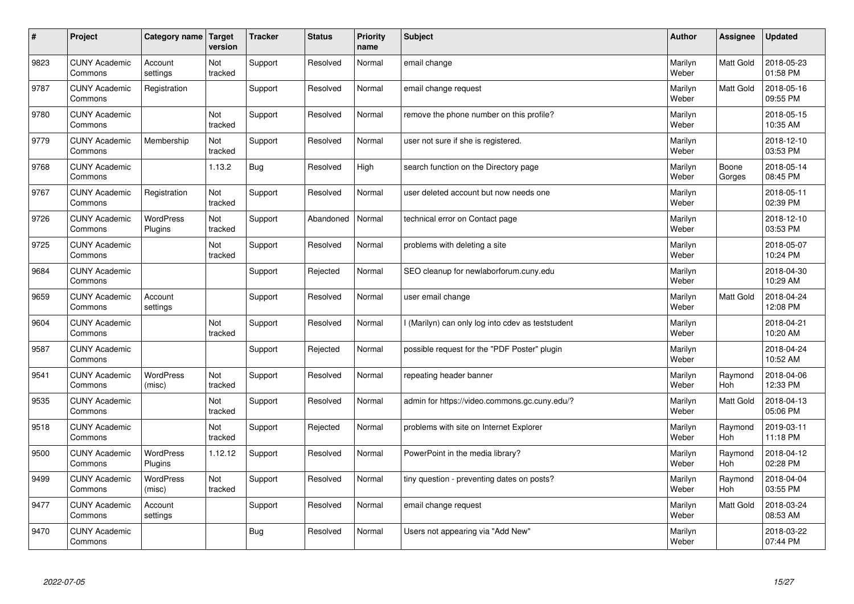| $\sharp$ | Project                         | Category name Target        | version        | <b>Tracker</b> | <b>Status</b> | <b>Priority</b><br>name | <b>Subject</b>                                  | <b>Author</b>    | Assignee              | <b>Updated</b>         |
|----------|---------------------------------|-----------------------------|----------------|----------------|---------------|-------------------------|-------------------------------------------------|------------------|-----------------------|------------------------|
| 9823     | <b>CUNY Academic</b><br>Commons | Account<br>settings         | Not<br>tracked | Support        | Resolved      | Normal                  | email change                                    | Marilyn<br>Weber | <b>Matt Gold</b>      | 2018-05-23<br>01:58 PM |
| 9787     | <b>CUNY Academic</b><br>Commons | Registration                |                | Support        | Resolved      | Normal                  | email change request                            | Marilyn<br>Weber | Matt Gold             | 2018-05-16<br>09:55 PM |
| 9780     | <b>CUNY Academic</b><br>Commons |                             | Not<br>tracked | Support        | Resolved      | Normal                  | remove the phone number on this profile?        | Marilyn<br>Weber |                       | 2018-05-15<br>10:35 AM |
| 9779     | <b>CUNY Academic</b><br>Commons | Membership                  | Not<br>tracked | Support        | Resolved      | Normal                  | user not sure if she is registered.             | Marilyn<br>Weber |                       | 2018-12-10<br>03:53 PM |
| 9768     | <b>CUNY Academic</b><br>Commons |                             | 1.13.2         | <b>Bug</b>     | Resolved      | High                    | search function on the Directory page           | Marilyn<br>Weber | Boone<br>Gorges       | 2018-05-14<br>08:45 PM |
| 9767     | <b>CUNY Academic</b><br>Commons | Registration                | Not<br>tracked | Support        | Resolved      | Normal                  | user deleted account but now needs one          | Marilyn<br>Weber |                       | 2018-05-11<br>02:39 PM |
| 9726     | <b>CUNY Academic</b><br>Commons | WordPress<br>Plugins        | Not<br>tracked | Support        | Abandoned     | Normal                  | technical error on Contact page                 | Marilyn<br>Weber |                       | 2018-12-10<br>03:53 PM |
| 9725     | <b>CUNY Academic</b><br>Commons |                             | Not<br>tracked | Support        | Resolved      | Normal                  | problems with deleting a site                   | Marilyn<br>Weber |                       | 2018-05-07<br>10:24 PM |
| 9684     | <b>CUNY Academic</b><br>Commons |                             |                | Support        | Rejected      | Normal                  | SEO cleanup for newlaborforum.cuny.edu          | Marilyn<br>Weber |                       | 2018-04-30<br>10:29 AM |
| 9659     | <b>CUNY Academic</b><br>Commons | Account<br>settings         |                | Support        | Resolved      | Normal                  | user email change                               | Marilyn<br>Weber | <b>Matt Gold</b>      | 2018-04-24<br>12:08 PM |
| 9604     | <b>CUNY Academic</b><br>Commons |                             | Not<br>tracked | Support        | Resolved      | Normal                  | (Marilyn) can only log into cdev as teststudent | Marilyn<br>Weber |                       | 2018-04-21<br>10:20 AM |
| 9587     | <b>CUNY Academic</b><br>Commons |                             |                | Support        | Rejected      | Normal                  | possible request for the "PDF Poster" plugin    | Marilyn<br>Weber |                       | 2018-04-24<br>10:52 AM |
| 9541     | <b>CUNY Academic</b><br>Commons | <b>WordPress</b><br>(misc)  | Not<br>tracked | Support        | Resolved      | Normal                  | repeating header banner                         | Marilyn<br>Weber | Raymond<br>Hoh        | 2018-04-06<br>12:33 PM |
| 9535     | <b>CUNY Academic</b><br>Commons |                             | Not<br>tracked | Support        | Resolved      | Normal                  | admin for https://video.commons.gc.cuny.edu/?   | Marilyn<br>Weber | Matt Gold             | 2018-04-13<br>05:06 PM |
| 9518     | <b>CUNY Academic</b><br>Commons |                             | Not<br>tracked | Support        | Rejected      | Normal                  | problems with site on Internet Explorer         | Marilyn<br>Weber | Raymond<br><b>Hoh</b> | 2019-03-11<br>11:18 PM |
| 9500     | <b>CUNY Academic</b><br>Commons | <b>WordPress</b><br>Plugins | 1.12.12        | Support        | Resolved      | Normal                  | PowerPoint in the media library?                | Marilyn<br>Weber | Raymond<br><b>Hoh</b> | 2018-04-12<br>02:28 PM |
| 9499     | <b>CUNY Academic</b><br>Commons | WordPress<br>(misc)         | Not<br>tracked | Support        | Resolved      | Normal                  | tiny question - preventing dates on posts?      | Marilyn<br>Weber | Raymond<br>Hoh        | 2018-04-04<br>03:55 PM |
| 9477     | <b>CUNY Academic</b><br>Commons | Account<br>settings         |                | Support        | Resolved      | Normal                  | email change request                            | Marilyn<br>Weber | Matt Gold             | 2018-03-24<br>08:53 AM |
| 9470     | <b>CUNY Academic</b><br>Commons |                             |                | Bug            | Resolved      | Normal                  | Users not appearing via "Add New"               | Marilyn<br>Weber |                       | 2018-03-22<br>07:44 PM |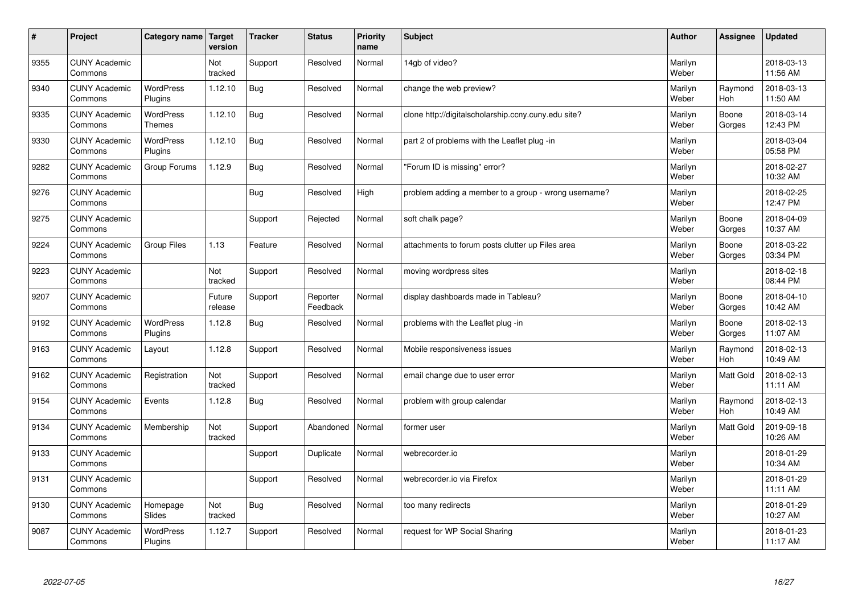| $\sharp$ | Project                         | Category name                     | Target<br>version | <b>Tracker</b> | <b>Status</b>        | <b>Priority</b><br>name | <b>Subject</b>                                       | <b>Author</b>    | <b>Assignee</b>       | <b>Updated</b>         |
|----------|---------------------------------|-----------------------------------|-------------------|----------------|----------------------|-------------------------|------------------------------------------------------|------------------|-----------------------|------------------------|
| 9355     | <b>CUNY Academic</b><br>Commons |                                   | Not<br>tracked    | Support        | Resolved             | Normal                  | 14gb of video?                                       | Marilyn<br>Weber |                       | 2018-03-13<br>11:56 AM |
| 9340     | <b>CUNY Academic</b><br>Commons | <b>WordPress</b><br>Plugins       | 1.12.10           | Bug            | Resolved             | Normal                  | change the web preview?                              | Marilyn<br>Weber | Raymond<br>Hoh        | 2018-03-13<br>11:50 AM |
| 9335     | <b>CUNY Academic</b><br>Commons | <b>WordPress</b><br><b>Themes</b> | 1.12.10           | Bug            | Resolved             | Normal                  | clone http://digitalscholarship.ccny.cuny.edu site?  | Marilyn<br>Weber | Boone<br>Gorges       | 2018-03-14<br>12:43 PM |
| 9330     | <b>CUNY Academic</b><br>Commons | <b>WordPress</b><br>Plugins       | 1.12.10           | Bug            | Resolved             | Normal                  | part 2 of problems with the Leaflet plug -in         | Marilyn<br>Weber |                       | 2018-03-04<br>05:58 PM |
| 9282     | <b>CUNY Academic</b><br>Commons | Group Forums                      | 1.12.9            | Bug            | Resolved             | Normal                  | "Forum ID is missing" error?                         | Marilyn<br>Weber |                       | 2018-02-27<br>10:32 AM |
| 9276     | <b>CUNY Academic</b><br>Commons |                                   |                   | Bug            | Resolved             | High                    | problem adding a member to a group - wrong username? | Marilyn<br>Weber |                       | 2018-02-25<br>12:47 PM |
| 9275     | <b>CUNY Academic</b><br>Commons |                                   |                   | Support        | Rejected             | Normal                  | soft chalk page?                                     | Marilyn<br>Weber | Boone<br>Gorges       | 2018-04-09<br>10:37 AM |
| 9224     | <b>CUNY Academic</b><br>Commons | <b>Group Files</b>                | 1.13              | Feature        | Resolved             | Normal                  | attachments to forum posts clutter up Files area     | Marilyn<br>Weber | Boone<br>Gorges       | 2018-03-22<br>03:34 PM |
| 9223     | <b>CUNY Academic</b><br>Commons |                                   | Not<br>tracked    | Support        | Resolved             | Normal                  | moving wordpress sites                               | Marilyn<br>Weber |                       | 2018-02-18<br>08:44 PM |
| 9207     | <b>CUNY Academic</b><br>Commons |                                   | Future<br>release | Support        | Reporter<br>Feedback | Normal                  | display dashboards made in Tableau?                  | Marilyn<br>Weber | Boone<br>Gorges       | 2018-04-10<br>10:42 AM |
| 9192     | <b>CUNY Academic</b><br>Commons | <b>WordPress</b><br>Plugins       | 1.12.8            | Bug            | Resolved             | Normal                  | problems with the Leaflet plug -in                   | Marilyn<br>Weber | Boone<br>Gorges       | 2018-02-13<br>11:07 AM |
| 9163     | <b>CUNY Academic</b><br>Commons | Layout                            | 1.12.8            | Support        | Resolved             | Normal                  | Mobile responsiveness issues                         | Marilyn<br>Weber | Raymond<br><b>Hoh</b> | 2018-02-13<br>10:49 AM |
| 9162     | <b>CUNY Academic</b><br>Commons | Registration                      | Not<br>tracked    | Support        | Resolved             | Normal                  | email change due to user error                       | Marilyn<br>Weber | Matt Gold             | 2018-02-13<br>11:11 AM |
| 9154     | <b>CUNY Academic</b><br>Commons | Events                            | 1.12.8            | Bug            | Resolved             | Normal                  | problem with group calendar                          | Marilyn<br>Weber | Raymond<br><b>Hoh</b> | 2018-02-13<br>10:49 AM |
| 9134     | <b>CUNY Academic</b><br>Commons | Membership                        | Not<br>tracked    | Support        | Abandoned            | Normal                  | former user                                          | Marilyn<br>Weber | <b>Matt Gold</b>      | 2019-09-18<br>10:26 AM |
| 9133     | <b>CUNY Academic</b><br>Commons |                                   |                   | Support        | Duplicate            | Normal                  | webrecorder.io                                       | Marilyn<br>Weber |                       | 2018-01-29<br>10:34 AM |
| 9131     | <b>CUNY Academic</b><br>Commons |                                   |                   | Support        | Resolved             | Normal                  | webrecorder.io via Firefox                           | Marilyn<br>Weber |                       | 2018-01-29<br>11:11 AM |
| 9130     | <b>CUNY Academic</b><br>Commons | Homepage<br>Slides                | Not<br>tracked    | Bug            | Resolved             | Normal                  | too many redirects                                   | Marilyn<br>Weber |                       | 2018-01-29<br>10:27 AM |
| 9087     | <b>CUNY Academic</b><br>Commons | <b>WordPress</b><br>Plugins       | 1.12.7            | Support        | Resolved             | Normal                  | request for WP Social Sharing                        | Marilyn<br>Weber |                       | 2018-01-23<br>11:17 AM |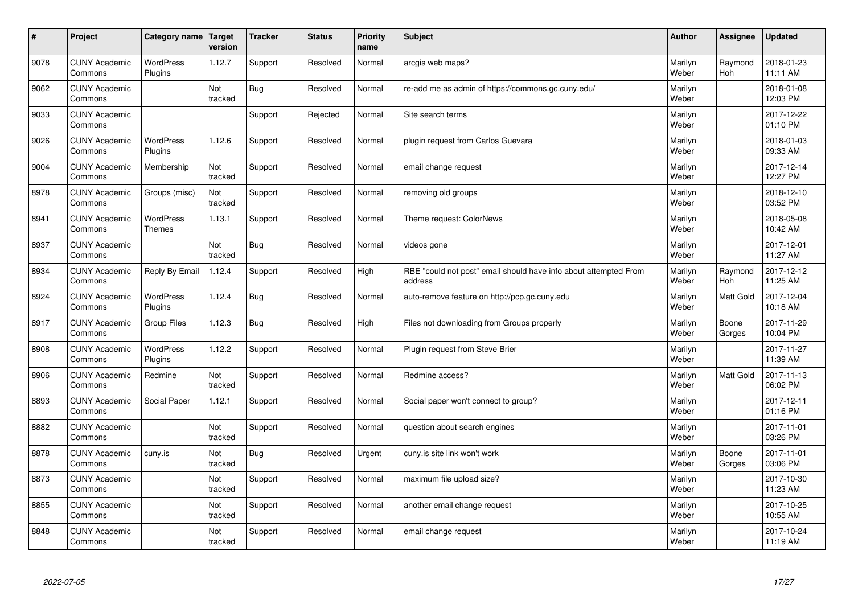| $\sharp$ | Project                         | Category name   Target            | version        | <b>Tracker</b> | <b>Status</b> | <b>Priority</b><br>name | <b>Subject</b>                                                              | <b>Author</b>    | Assignee              | <b>Updated</b>         |
|----------|---------------------------------|-----------------------------------|----------------|----------------|---------------|-------------------------|-----------------------------------------------------------------------------|------------------|-----------------------|------------------------|
| 9078     | <b>CUNY Academic</b><br>Commons | WordPress<br>Plugins              | 1.12.7         | Support        | Resolved      | Normal                  | arcgis web maps?                                                            | Marilyn<br>Weber | Raymond<br><b>Hoh</b> | 2018-01-23<br>11:11 AM |
| 9062     | <b>CUNY Academic</b><br>Commons |                                   | Not<br>tracked | Bug            | Resolved      | Normal                  | re-add me as admin of https://commons.gc.cuny.edu/                          | Marilyn<br>Weber |                       | 2018-01-08<br>12:03 PM |
| 9033     | <b>CUNY Academic</b><br>Commons |                                   |                | Support        | Rejected      | Normal                  | Site search terms                                                           | Marilyn<br>Weber |                       | 2017-12-22<br>01:10 PM |
| 9026     | <b>CUNY Academic</b><br>Commons | <b>WordPress</b><br>Plugins       | 1.12.6         | Support        | Resolved      | Normal                  | plugin request from Carlos Guevara                                          | Marilyn<br>Weber |                       | 2018-01-03<br>09:33 AM |
| 9004     | <b>CUNY Academic</b><br>Commons | Membership                        | Not<br>tracked | Support        | Resolved      | Normal                  | email change request                                                        | Marilyn<br>Weber |                       | 2017-12-14<br>12:27 PM |
| 8978     | <b>CUNY Academic</b><br>Commons | Groups (misc)                     | Not<br>tracked | Support        | Resolved      | Normal                  | removing old groups                                                         | Marilyn<br>Weber |                       | 2018-12-10<br>03:52 PM |
| 8941     | <b>CUNY Academic</b><br>Commons | <b>WordPress</b><br><b>Themes</b> | 1.13.1         | Support        | Resolved      | Normal                  | Theme request: ColorNews                                                    | Marilyn<br>Weber |                       | 2018-05-08<br>10:42 AM |
| 8937     | <b>CUNY Academic</b><br>Commons |                                   | Not<br>tracked | Bug            | Resolved      | Normal                  | videos gone                                                                 | Marilyn<br>Weber |                       | 2017-12-01<br>11:27 AM |
| 8934     | <b>CUNY Academic</b><br>Commons | Reply By Email                    | 1.12.4         | Support        | Resolved      | High                    | RBE "could not post" email should have info about attempted From<br>address | Marilyn<br>Weber | Raymond<br>Hoh        | 2017-12-12<br>11:25 AM |
| 8924     | <b>CUNY Academic</b><br>Commons | WordPress<br>Plugins              | 1.12.4         | Bug            | Resolved      | Normal                  | auto-remove feature on http://pcp.gc.cuny.edu                               | Marilyn<br>Weber | Matt Gold             | 2017-12-04<br>10:18 AM |
| 8917     | <b>CUNY Academic</b><br>Commons | <b>Group Files</b>                | 1.12.3         | Bug            | Resolved      | High                    | Files not downloading from Groups properly                                  | Marilyn<br>Weber | Boone<br>Gorges       | 2017-11-29<br>10:04 PM |
| 8908     | <b>CUNY Academic</b><br>Commons | <b>WordPress</b><br>Plugins       | 1.12.2         | Support        | Resolved      | Normal                  | Plugin request from Steve Brier                                             | Marilyn<br>Weber |                       | 2017-11-27<br>11:39 AM |
| 8906     | <b>CUNY Academic</b><br>Commons | Redmine                           | Not<br>tracked | Support        | Resolved      | Normal                  | Redmine access?                                                             | Marilyn<br>Weber | <b>Matt Gold</b>      | 2017-11-13<br>06:02 PM |
| 8893     | <b>CUNY Academic</b><br>Commons | Social Paper                      | 1.12.1         | Support        | Resolved      | Normal                  | Social paper won't connect to group?                                        | Marilyn<br>Weber |                       | 2017-12-11<br>01:16 PM |
| 8882     | <b>CUNY Academic</b><br>Commons |                                   | Not<br>tracked | Support        | Resolved      | Normal                  | question about search engines                                               | Marilyn<br>Weber |                       | 2017-11-01<br>03:26 PM |
| 8878     | <b>CUNY Academic</b><br>Commons | cuny.is                           | Not<br>tracked | Bug            | Resolved      | Urgent                  | cuny.is site link won't work                                                | Marilyn<br>Weber | Boone<br>Gorges       | 2017-11-01<br>03:06 PM |
| 8873     | <b>CUNY Academic</b><br>Commons |                                   | Not<br>tracked | Support        | Resolved      | Normal                  | maximum file upload size?                                                   | Marilyn<br>Weber |                       | 2017-10-30<br>11:23 AM |
| 8855     | <b>CUNY Academic</b><br>Commons |                                   | Not<br>tracked | Support        | Resolved      | Normal                  | another email change request                                                | Marilyn<br>Weber |                       | 2017-10-25<br>10:55 AM |
| 8848     | <b>CUNY Academic</b><br>Commons |                                   | Not<br>tracked | Support        | Resolved      | Normal                  | email change request                                                        | Marilyn<br>Weber |                       | 2017-10-24<br>11:19 AM |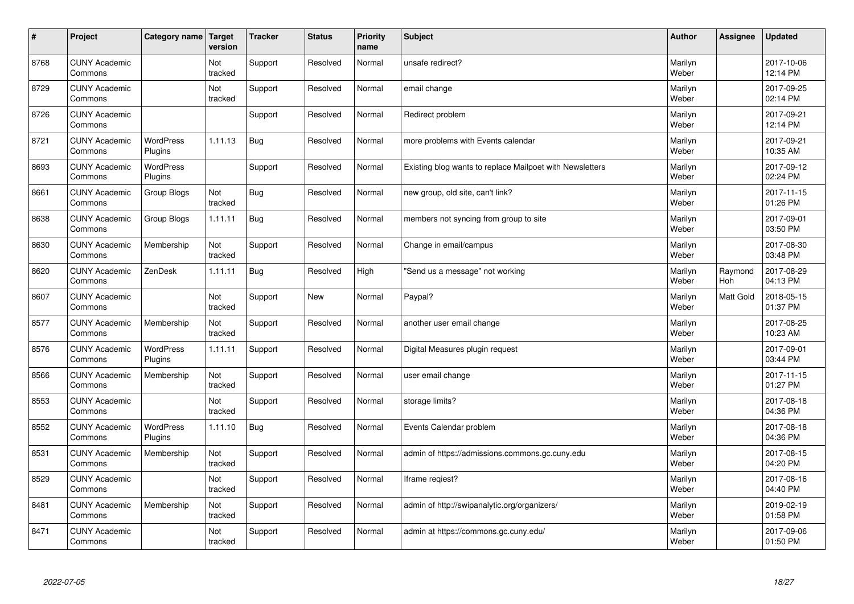| $\vert$ # | Project                         | Category name   Target      | version        | <b>Tracker</b> | <b>Status</b> | <b>Priority</b><br>name | <b>Subject</b>                                           | <b>Author</b>    | Assignee       | <b>Updated</b>         |
|-----------|---------------------------------|-----------------------------|----------------|----------------|---------------|-------------------------|----------------------------------------------------------|------------------|----------------|------------------------|
| 8768      | <b>CUNY Academic</b><br>Commons |                             | Not<br>tracked | Support        | Resolved      | Normal                  | unsafe redirect?                                         | Marilyn<br>Weber |                | 2017-10-06<br>12:14 PM |
| 8729      | <b>CUNY Academic</b><br>Commons |                             | Not<br>tracked | Support        | Resolved      | Normal                  | email change                                             | Marilyn<br>Weber |                | 2017-09-25<br>02:14 PM |
| 8726      | <b>CUNY Academic</b><br>Commons |                             |                | Support        | Resolved      | Normal                  | Redirect problem                                         | Marilyn<br>Weber |                | 2017-09-21<br>12:14 PM |
| 8721      | <b>CUNY Academic</b><br>Commons | <b>WordPress</b><br>Plugins | 1.11.13        | Bug            | Resolved      | Normal                  | more problems with Events calendar                       | Marilyn<br>Weber |                | 2017-09-21<br>10:35 AM |
| 8693      | <b>CUNY Academic</b><br>Commons | WordPress<br>Plugins        |                | Support        | Resolved      | Normal                  | Existing blog wants to replace Mailpoet with Newsletters | Marilyn<br>Weber |                | 2017-09-12<br>02:24 PM |
| 8661      | <b>CUNY Academic</b><br>Commons | Group Blogs                 | Not<br>tracked | <b>Bug</b>     | Resolved      | Normal                  | new group, old site, can't link?                         | Marilyn<br>Weber |                | 2017-11-15<br>01:26 PM |
| 8638      | <b>CUNY Academic</b><br>Commons | Group Blogs                 | 1.11.11        | Bug            | Resolved      | Normal                  | members not syncing from group to site                   | Marilyn<br>Weber |                | 2017-09-01<br>03:50 PM |
| 8630      | <b>CUNY Academic</b><br>Commons | Membership                  | Not<br>tracked | Support        | Resolved      | Normal                  | Change in email/campus                                   | Marilyn<br>Weber |                | 2017-08-30<br>03:48 PM |
| 8620      | <b>CUNY Academic</b><br>Commons | ZenDesk                     | 1.11.11        | Bug            | Resolved      | High                    | 'Send us a message" not working                          | Marilyn<br>Weber | Raymond<br>Hoh | 2017-08-29<br>04:13 PM |
| 8607      | <b>CUNY Academic</b><br>Commons |                             | Not<br>tracked | Support        | <b>New</b>    | Normal                  | Paypal?                                                  | Marilyn<br>Weber | Matt Gold      | 2018-05-15<br>01:37 PM |
| 8577      | <b>CUNY Academic</b><br>Commons | Membership                  | Not<br>tracked | Support        | Resolved      | Normal                  | another user email change                                | Marilyn<br>Weber |                | 2017-08-25<br>10:23 AM |
| 8576      | <b>CUNY Academic</b><br>Commons | WordPress<br>Plugins        | 1.11.11        | Support        | Resolved      | Normal                  | Digital Measures plugin request                          | Marilyn<br>Weber |                | 2017-09-01<br>03:44 PM |
| 8566      | <b>CUNY Academic</b><br>Commons | Membership                  | Not<br>tracked | Support        | Resolved      | Normal                  | user email change                                        | Marilyn<br>Weber |                | 2017-11-15<br>01:27 PM |
| 8553      | <b>CUNY Academic</b><br>Commons |                             | Not<br>tracked | Support        | Resolved      | Normal                  | storage limits?                                          | Marilyn<br>Weber |                | 2017-08-18<br>04:36 PM |
| 8552      | <b>CUNY Academic</b><br>Commons | WordPress<br>Plugins        | 1.11.10        | <b>Bug</b>     | Resolved      | Normal                  | Events Calendar problem                                  | Marilyn<br>Weber |                | 2017-08-18<br>04:36 PM |
| 8531      | <b>CUNY Academic</b><br>Commons | Membership                  | Not<br>tracked | Support        | Resolved      | Normal                  | admin of https://admissions.commons.gc.cuny.edu          | Marilyn<br>Weber |                | 2017-08-15<br>04:20 PM |
| 8529      | <b>CUNY Academic</b><br>Commons |                             | Not<br>tracked | Support        | Resolved      | Normal                  | Iframe regiest?                                          | Marilyn<br>Weber |                | 2017-08-16<br>04:40 PM |
| 8481      | <b>CUNY Academic</b><br>Commons | Membership                  | Not<br>tracked | Support        | Resolved      | Normal                  | admin of http://swipanalytic.org/organizers/             | Marilyn<br>Weber |                | 2019-02-19<br>01:58 PM |
| 8471      | <b>CUNY Academic</b><br>Commons |                             | Not<br>tracked | Support        | Resolved      | Normal                  | admin at https://commons.gc.cuny.edu/                    | Marilyn<br>Weber |                | 2017-09-06<br>01:50 PM |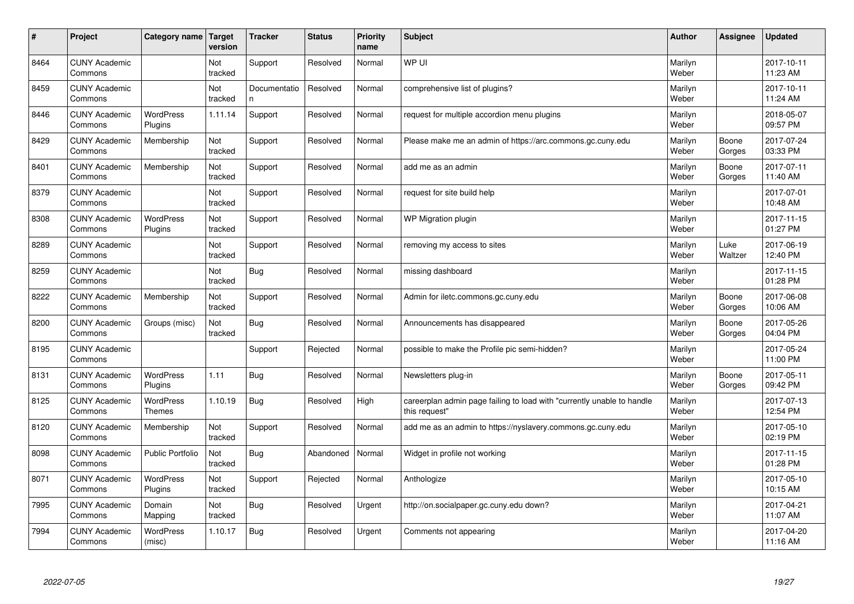| #    | Project                         | Category name               | Target<br>version | <b>Tracker</b>     | <b>Status</b> | <b>Priority</b><br>name | <b>Subject</b>                                                                          | <b>Author</b>    | Assignee        | <b>Updated</b>         |
|------|---------------------------------|-----------------------------|-------------------|--------------------|---------------|-------------------------|-----------------------------------------------------------------------------------------|------------------|-----------------|------------------------|
| 8464 | <b>CUNY Academic</b><br>Commons |                             | Not<br>tracked    | Support            | Resolved      | Normal                  | WP UI                                                                                   | Marilyn<br>Weber |                 | 2017-10-11<br>11:23 AM |
| 8459 | <b>CUNY Academic</b><br>Commons |                             | Not<br>tracked    | Documentatio<br>n. | Resolved      | Normal                  | comprehensive list of plugins?                                                          | Marilyn<br>Weber |                 | 2017-10-11<br>11:24 AM |
| 8446 | <b>CUNY Academic</b><br>Commons | <b>WordPress</b><br>Plugins | 1.11.14           | Support            | Resolved      | Normal                  | request for multiple accordion menu plugins                                             | Marilyn<br>Weber |                 | 2018-05-07<br>09:57 PM |
| 8429 | <b>CUNY Academic</b><br>Commons | Membership                  | Not<br>tracked    | Support            | Resolved      | Normal                  | Please make me an admin of https://arc.commons.gc.cuny.edu                              | Marilyn<br>Weber | Boone<br>Gorges | 2017-07-24<br>03:33 PM |
| 8401 | <b>CUNY Academic</b><br>Commons | Membership                  | Not<br>tracked    | Support            | Resolved      | Normal                  | add me as an admin                                                                      | Marilyn<br>Weber | Boone<br>Gorges | 2017-07-11<br>11:40 AM |
| 8379 | <b>CUNY Academic</b><br>Commons |                             | Not<br>tracked    | Support            | Resolved      | Normal                  | request for site build help                                                             | Marilyn<br>Weber |                 | 2017-07-01<br>10:48 AM |
| 8308 | <b>CUNY Academic</b><br>Commons | WordPress<br>Plugins        | Not<br>tracked    | Support            | Resolved      | Normal                  | WP Migration plugin                                                                     | Marilyn<br>Weber |                 | 2017-11-15<br>01:27 PM |
| 8289 | <b>CUNY Academic</b><br>Commons |                             | Not<br>tracked    | Support            | Resolved      | Normal                  | removing my access to sites                                                             | Marilyn<br>Weber | Luke<br>Waltzer | 2017-06-19<br>12:40 PM |
| 8259 | <b>CUNY Academic</b><br>Commons |                             | Not<br>tracked    | Bug                | Resolved      | Normal                  | missing dashboard                                                                       | Marilyn<br>Weber |                 | 2017-11-15<br>01:28 PM |
| 8222 | <b>CUNY Academic</b><br>Commons | Membership                  | Not<br>tracked    | Support            | Resolved      | Normal                  | Admin for iletc.commons.gc.cuny.edu                                                     | Marilyn<br>Weber | Boone<br>Gorges | 2017-06-08<br>10:06 AM |
| 8200 | <b>CUNY Academic</b><br>Commons | Groups (misc)               | Not<br>tracked    | Bug                | Resolved      | Normal                  | Announcements has disappeared                                                           | Marilyn<br>Weber | Boone<br>Gorges | 2017-05-26<br>04:04 PM |
| 8195 | <b>CUNY Academic</b><br>Commons |                             |                   | Support            | Rejected      | Normal                  | possible to make the Profile pic semi-hidden?                                           | Marilyn<br>Weber |                 | 2017-05-24<br>11:00 PM |
| 8131 | <b>CUNY Academic</b><br>Commons | <b>WordPress</b><br>Plugins | 1.11              | Bug                | Resolved      | Normal                  | Newsletters plug-in                                                                     | Marilyn<br>Weber | Boone<br>Gorges | 2017-05-11<br>09:42 PM |
| 8125 | <b>CUNY Academic</b><br>Commons | WordPress<br><b>Themes</b>  | 1.10.19           | Bug                | Resolved      | High                    | careerplan admin page failing to load with "currently unable to handle<br>this request" | Marilyn<br>Weber |                 | 2017-07-13<br>12:54 PM |
| 8120 | <b>CUNY Academic</b><br>Commons | Membership                  | Not<br>tracked    | Support            | Resolved      | Normal                  | add me as an admin to https://nyslavery.commons.gc.cuny.edu                             | Marilyn<br>Weber |                 | 2017-05-10<br>02:19 PM |
| 8098 | <b>CUNY Academic</b><br>Commons | Public Portfolio            | Not<br>tracked    | Bug                | Abandoned     | Normal                  | Widget in profile not working                                                           | Marilyn<br>Weber |                 | 2017-11-15<br>01:28 PM |
| 8071 | <b>CUNY Academic</b><br>Commons | WordPress<br>Plugins        | Not<br>tracked    | Support            | Rejected      | Normal                  | Anthologize                                                                             | Marilyn<br>Weber |                 | 2017-05-10<br>10:15 AM |
| 7995 | <b>CUNY Academic</b><br>Commons | Domain<br>Mapping           | Not<br>tracked    | Bug                | Resolved      | Urgent                  | http://on.socialpaper.gc.cuny.edu down?                                                 | Marilyn<br>Weber |                 | 2017-04-21<br>11:07 AM |
| 7994 | <b>CUNY Academic</b><br>Commons | <b>WordPress</b><br>(misc)  | 1.10.17           | Bug                | Resolved      | Urgent                  | Comments not appearing                                                                  | Marilyn<br>Weber |                 | 2017-04-20<br>11:16 AM |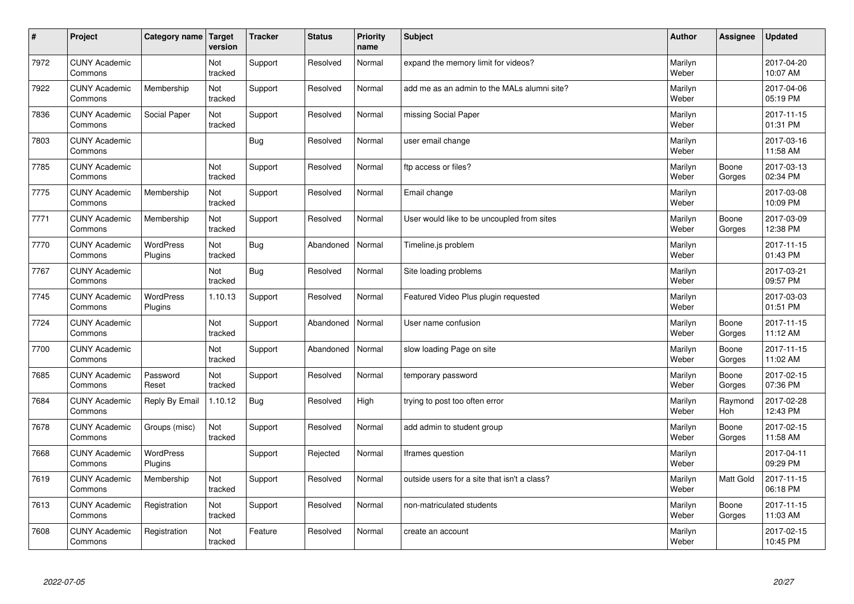| #    | Project                         | Category name   Target      | version        | <b>Tracker</b> | <b>Status</b> | <b>Priority</b><br>name | <b>Subject</b>                               | <b>Author</b>    | Assignee              | <b>Updated</b>         |
|------|---------------------------------|-----------------------------|----------------|----------------|---------------|-------------------------|----------------------------------------------|------------------|-----------------------|------------------------|
| 7972 | <b>CUNY Academic</b><br>Commons |                             | Not<br>tracked | Support        | Resolved      | Normal                  | expand the memory limit for videos?          | Marilyn<br>Weber |                       | 2017-04-20<br>10:07 AM |
| 7922 | <b>CUNY Academic</b><br>Commons | Membership                  | Not<br>tracked | Support        | Resolved      | Normal                  | add me as an admin to the MALs alumni site?  | Marilyn<br>Weber |                       | 2017-04-06<br>05:19 PM |
| 7836 | <b>CUNY Academic</b><br>Commons | Social Paper                | Not<br>tracked | Support        | Resolved      | Normal                  | missing Social Paper                         | Marilyn<br>Weber |                       | 2017-11-15<br>01:31 PM |
| 7803 | <b>CUNY Academic</b><br>Commons |                             |                | Bug            | Resolved      | Normal                  | user email change                            | Marilyn<br>Weber |                       | 2017-03-16<br>11:58 AM |
| 7785 | <b>CUNY Academic</b><br>Commons |                             | Not<br>tracked | Support        | Resolved      | Normal                  | ftp access or files?                         | Marilyn<br>Weber | Boone<br>Gorges       | 2017-03-13<br>02:34 PM |
| 7775 | <b>CUNY Academic</b><br>Commons | Membership                  | Not<br>tracked | Support        | Resolved      | Normal                  | Email change                                 | Marilyn<br>Weber |                       | 2017-03-08<br>10:09 PM |
| 7771 | <b>CUNY Academic</b><br>Commons | Membership                  | Not<br>tracked | Support        | Resolved      | Normal                  | User would like to be uncoupled from sites   | Marilyn<br>Weber | Boone<br>Gorges       | 2017-03-09<br>12:38 PM |
| 7770 | <b>CUNY Academic</b><br>Commons | WordPress<br>Plugins        | Not<br>tracked | Bug            | Abandoned     | Normal                  | Timeline.js problem                          | Marilyn<br>Weber |                       | 2017-11-15<br>01:43 PM |
| 7767 | <b>CUNY Academic</b><br>Commons |                             | Not<br>tracked | Bug            | Resolved      | Normal                  | Site loading problems                        | Marilyn<br>Weber |                       | 2017-03-21<br>09:57 PM |
| 7745 | <b>CUNY Academic</b><br>Commons | <b>WordPress</b><br>Plugins | 1.10.13        | Support        | Resolved      | Normal                  | Featured Video Plus plugin requested         | Marilyn<br>Weber |                       | 2017-03-03<br>01:51 PM |
| 7724 | <b>CUNY Academic</b><br>Commons |                             | Not<br>tracked | Support        | Abandoned     | Normal                  | User name confusion                          | Marilyn<br>Weber | Boone<br>Gorges       | 2017-11-15<br>11:12 AM |
| 7700 | <b>CUNY Academic</b><br>Commons |                             | Not<br>tracked | Support        | Abandoned     | Normal                  | slow loading Page on site                    | Marilyn<br>Weber | Boone<br>Gorges       | 2017-11-15<br>11:02 AM |
| 7685 | <b>CUNY Academic</b><br>Commons | Password<br>Reset           | Not<br>tracked | Support        | Resolved      | Normal                  | temporary password                           | Marilyn<br>Weber | Boone<br>Gorges       | 2017-02-15<br>07:36 PM |
| 7684 | <b>CUNY Academic</b><br>Commons | Reply By Email              | 1.10.12        | Bug            | Resolved      | High                    | trying to post too often error               | Marilyn<br>Weber | Raymond<br><b>Hoh</b> | 2017-02-28<br>12:43 PM |
| 7678 | <b>CUNY Academic</b><br>Commons | Groups (misc)               | Not<br>tracked | Support        | Resolved      | Normal                  | add admin to student group                   | Marilyn<br>Weber | Boone<br>Gorges       | 2017-02-15<br>11:58 AM |
| 7668 | <b>CUNY Academic</b><br>Commons | WordPress<br>Plugins        |                | Support        | Rejected      | Normal                  | Iframes question                             | Marilyn<br>Weber |                       | 2017-04-11<br>09:29 PM |
| 7619 | <b>CUNY Academic</b><br>Commons | Membership                  | Not<br>tracked | Support        | Resolved      | Normal                  | outside users for a site that isn't a class? | Marilyn<br>Weber | <b>Matt Gold</b>      | 2017-11-15<br>06:18 PM |
| 7613 | <b>CUNY Academic</b><br>Commons | Registration                | Not<br>tracked | Support        | Resolved      | Normal                  | non-matriculated students                    | Marilyn<br>Weber | Boone<br>Gorges       | 2017-11-15<br>11:03 AM |
| 7608 | <b>CUNY Academic</b><br>Commons | Registration                | Not<br>tracked | Feature        | Resolved      | Normal                  | create an account                            | Marilyn<br>Weber |                       | 2017-02-15<br>10:45 PM |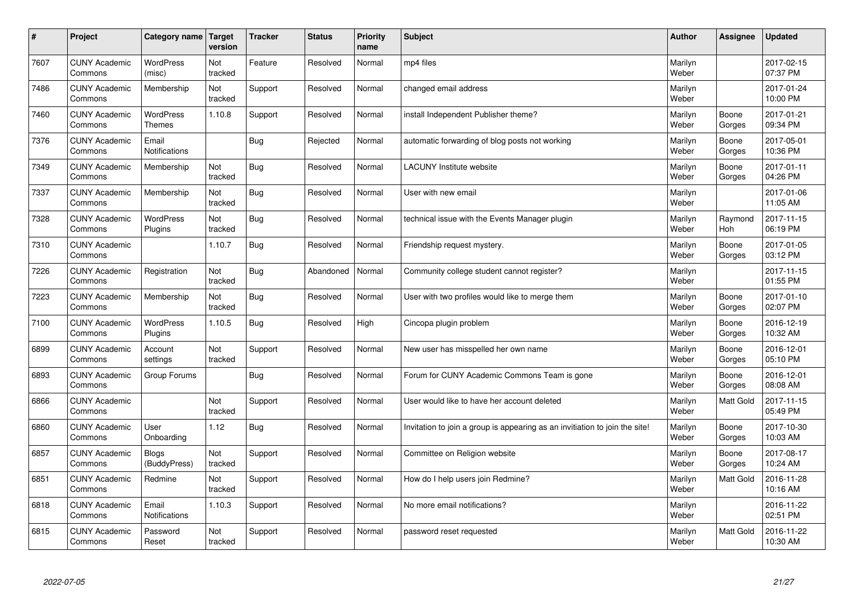| $\vert$ # | Project                         | Category name                | <b>Target</b><br>version | <b>Tracker</b> | <b>Status</b> | <b>Priority</b><br>name | <b>Subject</b>                                                              | <b>Author</b>    | <b>Assignee</b>  | <b>Updated</b>         |
|-----------|---------------------------------|------------------------------|--------------------------|----------------|---------------|-------------------------|-----------------------------------------------------------------------------|------------------|------------------|------------------------|
| 7607      | <b>CUNY Academic</b><br>Commons | <b>WordPress</b><br>(misc)   | Not<br>tracked           | Feature        | Resolved      | Normal                  | mp4 files                                                                   | Marilyn<br>Weber |                  | 2017-02-15<br>07:37 PM |
| 7486      | <b>CUNY Academic</b><br>Commons | Membership                   | Not<br>tracked           | Support        | Resolved      | Normal                  | changed email address                                                       | Marilyn<br>Weber |                  | 2017-01-24<br>10:00 PM |
| 7460      | <b>CUNY Academic</b><br>Commons | WordPress<br>Themes          | 1.10.8                   | Support        | Resolved      | Normal                  | install Independent Publisher theme?                                        | Marilyn<br>Weber | Boone<br>Gorges  | 2017-01-21<br>09:34 PM |
| 7376      | <b>CUNY Academic</b><br>Commons | Email<br>Notifications       |                          | Bug            | Rejected      | Normal                  | automatic forwarding of blog posts not working                              | Marilyn<br>Weber | Boone<br>Gorges  | 2017-05-01<br>10:36 PM |
| 7349      | <b>CUNY Academic</b><br>Commons | Membership                   | Not<br>tracked           | <b>Bug</b>     | Resolved      | Normal                  | <b>LACUNY Institute website</b>                                             | Marilyn<br>Weber | Boone<br>Gorges  | 2017-01-11<br>04:26 PM |
| 7337      | <b>CUNY Academic</b><br>Commons | Membership                   | Not<br>tracked           | <b>Bug</b>     | Resolved      | Normal                  | User with new email                                                         | Marilyn<br>Weber |                  | 2017-01-06<br>11:05 AM |
| 7328      | <b>CUNY Academic</b><br>Commons | <b>WordPress</b><br>Plugins  | Not<br>tracked           | Bug            | Resolved      | Normal                  | technical issue with the Events Manager plugin                              | Marilyn<br>Weber | Raymond<br>Hoh   | 2017-11-15<br>06:19 PM |
| 7310      | <b>CUNY Academic</b><br>Commons |                              | 1.10.7                   | Bug            | Resolved      | Normal                  | Friendship request mystery.                                                 | Marilyn<br>Weber | Boone<br>Gorges  | 2017-01-05<br>03:12 PM |
| 7226      | <b>CUNY Academic</b><br>Commons | Registration                 | Not<br>tracked           | Bug            | Abandoned     | Normal                  | Community college student cannot register?                                  | Marilyn<br>Weber |                  | 2017-11-15<br>01:55 PM |
| 7223      | <b>CUNY Academic</b><br>Commons | Membership                   | Not<br>tracked           | <b>Bug</b>     | Resolved      | Normal                  | User with two profiles would like to merge them                             | Marilyn<br>Weber | Boone<br>Gorges  | 2017-01-10<br>02:07 PM |
| 7100      | <b>CUNY Academic</b><br>Commons | WordPress<br>Plugins         | 1.10.5                   | Bug            | Resolved      | High                    | Cincopa plugin problem                                                      | Marilyn<br>Weber | Boone<br>Gorges  | 2016-12-19<br>10:32 AM |
| 6899      | <b>CUNY Academic</b><br>Commons | Account<br>settings          | Not<br>tracked           | Support        | Resolved      | Normal                  | New user has misspelled her own name                                        | Marilyn<br>Weber | Boone<br>Gorges  | 2016-12-01<br>05:10 PM |
| 6893      | <b>CUNY Academic</b><br>Commons | Group Forums                 |                          | Bug            | Resolved      | Normal                  | Forum for CUNY Academic Commons Team is gone                                | Marilyn<br>Weber | Boone<br>Gorges  | 2016-12-01<br>08:08 AM |
| 6866      | <b>CUNY Academic</b><br>Commons |                              | Not<br>tracked           | Support        | Resolved      | Normal                  | User would like to have her account deleted                                 | Marilyn<br>Weber | <b>Matt Gold</b> | 2017-11-15<br>05:49 PM |
| 6860      | <b>CUNY Academic</b><br>Commons | User<br>Onboarding           | 1.12                     | <b>Bug</b>     | Resolved      | Normal                  | Invitation to join a group is appearing as an invitiation to join the site! | Marilyn<br>Weber | Boone<br>Gorges  | 2017-10-30<br>10:03 AM |
| 6857      | <b>CUNY Academic</b><br>Commons | <b>Blogs</b><br>(BuddyPress) | Not<br>tracked           | Support        | Resolved      | Normal                  | Committee on Religion website                                               | Marilyn<br>Weber | Boone<br>Gorges  | 2017-08-17<br>10:24 AM |
| 6851      | <b>CUNY Academic</b><br>Commons | Redmine                      | Not<br>tracked           | Support        | Resolved      | Normal                  | How do I help users join Redmine?                                           | Marilyn<br>Weber | <b>Matt Gold</b> | 2016-11-28<br>10:16 AM |
| 6818      | <b>CUNY Academic</b><br>Commons | Email<br>Notifications       | 1.10.3                   | Support        | Resolved      | Normal                  | No more email notifications?                                                | Marilyn<br>Weber |                  | 2016-11-22<br>02:51 PM |
| 6815      | <b>CUNY Academic</b><br>Commons | Password<br>Reset            | Not<br>tracked           | Support        | Resolved      | Normal                  | password reset requested                                                    | Marilyn<br>Weber | Matt Gold        | 2016-11-22<br>10:30 AM |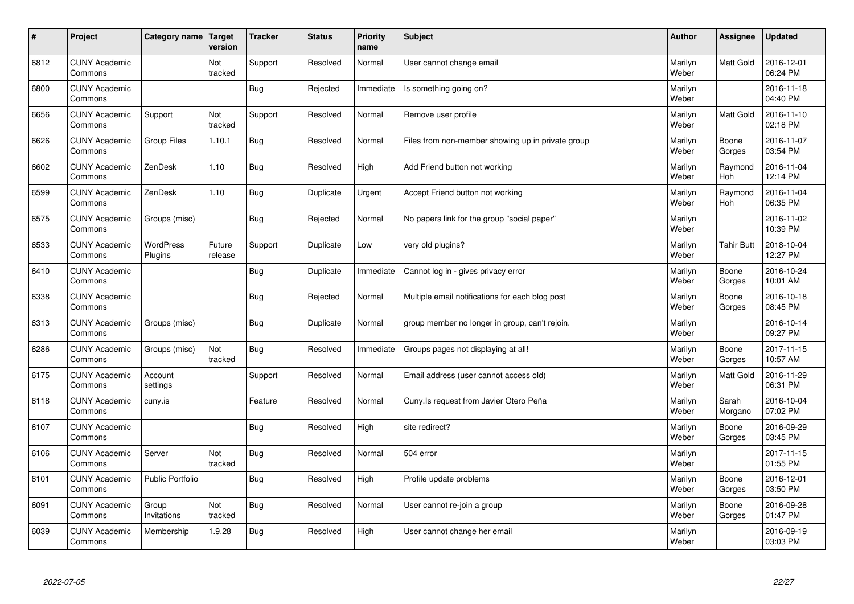| $\sharp$ | Project                         | Category name Target    | version           | <b>Tracker</b> | <b>Status</b> | <b>Priority</b><br>name | <b>Subject</b>                                    | <b>Author</b>    | Assignee          | <b>Updated</b>         |
|----------|---------------------------------|-------------------------|-------------------|----------------|---------------|-------------------------|---------------------------------------------------|------------------|-------------------|------------------------|
| 6812     | <b>CUNY Academic</b><br>Commons |                         | Not<br>tracked    | Support        | Resolved      | Normal                  | User cannot change email                          | Marilyn<br>Weber | <b>Matt Gold</b>  | 2016-12-01<br>06:24 PM |
| 6800     | <b>CUNY Academic</b><br>Commons |                         |                   | Bug            | Rejected      | Immediate               | Is something going on?                            | Marilyn<br>Weber |                   | 2016-11-18<br>04:40 PM |
| 6656     | <b>CUNY Academic</b><br>Commons | Support                 | Not<br>tracked    | Support        | Resolved      | Normal                  | Remove user profile                               | Marilyn<br>Weber | <b>Matt Gold</b>  | 2016-11-10<br>02:18 PM |
| 6626     | <b>CUNY Academic</b><br>Commons | <b>Group Files</b>      | 1.10.1            | Bug            | Resolved      | Normal                  | Files from non-member showing up in private group | Marilyn<br>Weber | Boone<br>Gorges   | 2016-11-07<br>03:54 PM |
| 6602     | <b>CUNY Academic</b><br>Commons | ZenDesk                 | 1.10              | Bug            | Resolved      | High                    | Add Friend button not working                     | Marilyn<br>Weber | Raymond<br>Hoh    | 2016-11-04<br>12:14 PM |
| 6599     | <b>CUNY Academic</b><br>Commons | ZenDesk                 | 1.10              | <b>Bug</b>     | Duplicate     | Urgent                  | Accept Friend button not working                  | Marilyn<br>Weber | Raymond<br>Hoh    | 2016-11-04<br>06:35 PM |
| 6575     | <b>CUNY Academic</b><br>Commons | Groups (misc)           |                   | Bug            | Rejected      | Normal                  | No papers link for the group "social paper"       | Marilyn<br>Weber |                   | 2016-11-02<br>10:39 PM |
| 6533     | <b>CUNY Academic</b><br>Commons | WordPress<br>Plugins    | Future<br>release | Support        | Duplicate     | Low                     | very old plugins?                                 | Marilyn<br>Weber | <b>Tahir Butt</b> | 2018-10-04<br>12:27 PM |
| 6410     | <b>CUNY Academic</b><br>Commons |                         |                   | Bug            | Duplicate     | Immediate               | Cannot log in - gives privacy error               | Marilyn<br>Weber | Boone<br>Gorges   | 2016-10-24<br>10:01 AM |
| 6338     | <b>CUNY Academic</b><br>Commons |                         |                   | Bug            | Rejected      | Normal                  | Multiple email notifications for each blog post   | Marilyn<br>Weber | Boone<br>Gorges   | 2016-10-18<br>08:45 PM |
| 6313     | <b>CUNY Academic</b><br>Commons | Groups (misc)           |                   | <b>Bug</b>     | Duplicate     | Normal                  | group member no longer in group, can't rejoin.    | Marilyn<br>Weber |                   | 2016-10-14<br>09:27 PM |
| 6286     | <b>CUNY Academic</b><br>Commons | Groups (misc)           | Not<br>tracked    | Bug            | Resolved      | Immediate               | Groups pages not displaying at all!               | Marilyn<br>Weber | Boone<br>Gorges   | 2017-11-15<br>10:57 AM |
| 6175     | <b>CUNY Academic</b><br>Commons | Account<br>settings     |                   | Support        | Resolved      | Normal                  | Email address (user cannot access old)            | Marilyn<br>Weber | <b>Matt Gold</b>  | 2016-11-29<br>06:31 PM |
| 6118     | <b>CUNY Academic</b><br>Commons | cuny.is                 |                   | Feature        | Resolved      | Normal                  | Cuny. Is request from Javier Otero Peña           | Marilyn<br>Weber | Sarah<br>Morgano  | 2016-10-04<br>07:02 PM |
| 6107     | <b>CUNY Academic</b><br>Commons |                         |                   | Bug            | Resolved      | High                    | site redirect?                                    | Marilyn<br>Weber | Boone<br>Gorges   | 2016-09-29<br>03:45 PM |
| 6106     | <b>CUNY Academic</b><br>Commons | Server                  | Not<br>tracked    | Bug            | Resolved      | Normal                  | 504 error                                         | Marilyn<br>Weber |                   | 2017-11-15<br>01:55 PM |
| 6101     | <b>CUNY Academic</b><br>Commons | <b>Public Portfolio</b> |                   | Bug            | Resolved      | High                    | Profile update problems                           | Marilyn<br>Weber | Boone<br>Gorges   | 2016-12-01<br>03:50 PM |
| 6091     | <b>CUNY Academic</b><br>Commons | Group<br>Invitations    | Not<br>tracked    | Bug            | Resolved      | Normal                  | User cannot re-join a group                       | Marilyn<br>Weber | Boone<br>Gorges   | 2016-09-28<br>01:47 PM |
| 6039     | <b>CUNY Academic</b><br>Commons | Membership              | 1.9.28            | <b>Bug</b>     | Resolved      | High                    | User cannot change her email                      | Marilyn<br>Weber |                   | 2016-09-19<br>03:03 PM |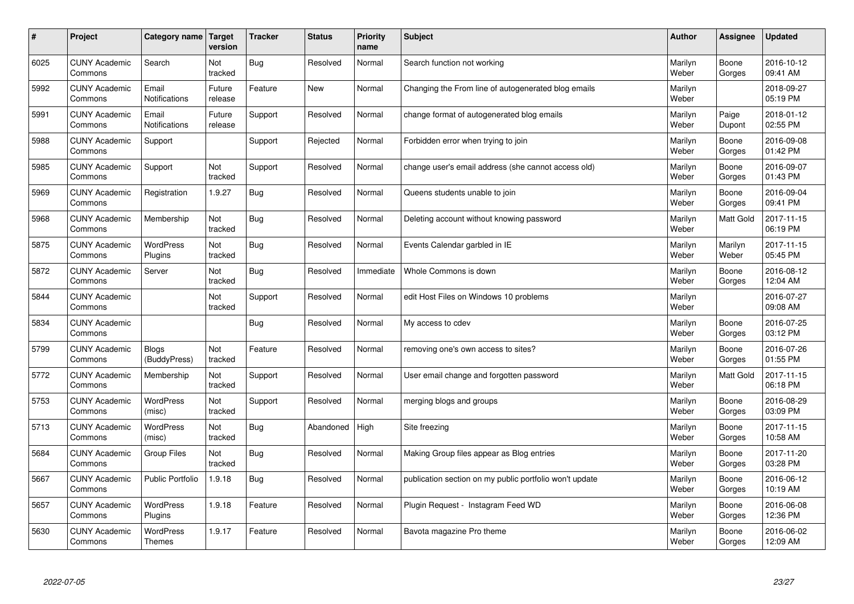| $\sharp$ | Project                         | Category name   Target            | version           | <b>Tracker</b> | <b>Status</b> | <b>Priority</b><br>name | <b>Subject</b>                                          | <b>Author</b>    | Assignee         | <b>Updated</b>         |
|----------|---------------------------------|-----------------------------------|-------------------|----------------|---------------|-------------------------|---------------------------------------------------------|------------------|------------------|------------------------|
| 6025     | <b>CUNY Academic</b><br>Commons | Search                            | Not<br>tracked    | Bug            | Resolved      | Normal                  | Search function not working                             | Marilyn<br>Weber | Boone<br>Gorges  | 2016-10-12<br>09:41 AM |
| 5992     | <b>CUNY Academic</b><br>Commons | Email<br><b>Notifications</b>     | Future<br>release | Feature        | New           | Normal                  | Changing the From line of autogenerated blog emails     | Marilyn<br>Weber |                  | 2018-09-27<br>05:19 PM |
| 5991     | <b>CUNY Academic</b><br>Commons | Email<br>Notifications            | Future<br>release | Support        | Resolved      | Normal                  | change format of autogenerated blog emails              | Marilyn<br>Weber | Paige<br>Dupont  | 2018-01-12<br>02:55 PM |
| 5988     | <b>CUNY Academic</b><br>Commons | Support                           |                   | Support        | Rejected      | Normal                  | Forbidden error when trying to join                     | Marilyn<br>Weber | Boone<br>Gorges  | 2016-09-08<br>01:42 PM |
| 5985     | <b>CUNY Academic</b><br>Commons | Support                           | Not<br>tracked    | Support        | Resolved      | Normal                  | change user's email address (she cannot access old)     | Marilyn<br>Weber | Boone<br>Gorges  | 2016-09-07<br>01:43 PM |
| 5969     | <b>CUNY Academic</b><br>Commons | Registration                      | 1.9.27            | Bug            | Resolved      | Normal                  | Queens students unable to join                          | Marilyn<br>Weber | Boone<br>Gorges  | 2016-09-04<br>09:41 PM |
| 5968     | <b>CUNY Academic</b><br>Commons | Membership                        | Not<br>tracked    | Bug            | Resolved      | Normal                  | Deleting account without knowing password               | Marilyn<br>Weber | <b>Matt Gold</b> | 2017-11-15<br>06:19 PM |
| 5875     | <b>CUNY Academic</b><br>Commons | WordPress<br>Plugins              | Not<br>tracked    | <b>Bug</b>     | Resolved      | Normal                  | Events Calendar garbled in IE                           | Marilyn<br>Weber | Marilyn<br>Weber | 2017-11-15<br>05:45 PM |
| 5872     | <b>CUNY Academic</b><br>Commons | Server                            | Not<br>tracked    | Bug            | Resolved      | Immediate               | Whole Commons is down                                   | Marilyn<br>Weber | Boone<br>Gorges  | 2016-08-12<br>12:04 AM |
| 5844     | <b>CUNY Academic</b><br>Commons |                                   | Not<br>tracked    | Support        | Resolved      | Normal                  | edit Host Files on Windows 10 problems                  | Marilyn<br>Weber |                  | 2016-07-27<br>09:08 AM |
| 5834     | <b>CUNY Academic</b><br>Commons |                                   |                   | Bug            | Resolved      | Normal                  | My access to cdev                                       | Marilyn<br>Weber | Boone<br>Gorges  | 2016-07-25<br>03:12 PM |
| 5799     | <b>CUNY Academic</b><br>Commons | Blogs<br>(BuddyPress)             | Not<br>tracked    | Feature        | Resolved      | Normal                  | removing one's own access to sites?                     | Marilyn<br>Weber | Boone<br>Gorges  | 2016-07-26<br>01:55 PM |
| 5772     | <b>CUNY Academic</b><br>Commons | Membership                        | Not<br>tracked    | Support        | Resolved      | Normal                  | User email change and forgotten password                | Marilyn<br>Weber | <b>Matt Gold</b> | 2017-11-15<br>06:18 PM |
| 5753     | <b>CUNY Academic</b><br>Commons | WordPress<br>(misc)               | Not<br>tracked    | Support        | Resolved      | Normal                  | merging blogs and groups                                | Marilyn<br>Weber | Boone<br>Gorges  | 2016-08-29<br>03:09 PM |
| 5713     | <b>CUNY Academic</b><br>Commons | <b>WordPress</b><br>(misc)        | Not<br>tracked    | Bug            | Abandoned     | High                    | Site freezing                                           | Marilyn<br>Weber | Boone<br>Gorges  | 2017-11-15<br>10:58 AM |
| 5684     | <b>CUNY Academic</b><br>Commons | <b>Group Files</b>                | Not<br>tracked    | Bug            | Resolved      | Normal                  | Making Group files appear as Blog entries               | Marilyn<br>Weber | Boone<br>Gorges  | 2017-11-20<br>03:28 PM |
| 5667     | <b>CUNY Academic</b><br>Commons | <b>Public Portfolio</b>           | 1.9.18            | Bug            | Resolved      | Normal                  | publication section on my public portfolio won't update | Marilyn<br>Weber | Boone<br>Gorges  | 2016-06-12<br>10:19 AM |
| 5657     | <b>CUNY Academic</b><br>Commons | WordPress<br>Plugins              | 1.9.18            | Feature        | Resolved      | Normal                  | Plugin Request - Instagram Feed WD                      | Marilyn<br>Weber | Boone<br>Gorges  | 2016-06-08<br>12:36 PM |
| 5630     | <b>CUNY Academic</b><br>Commons | <b>WordPress</b><br><b>Themes</b> | 1.9.17            | Feature        | Resolved      | Normal                  | Bavota magazine Pro theme                               | Marilyn<br>Weber | Boone<br>Gorges  | 2016-06-02<br>12:09 AM |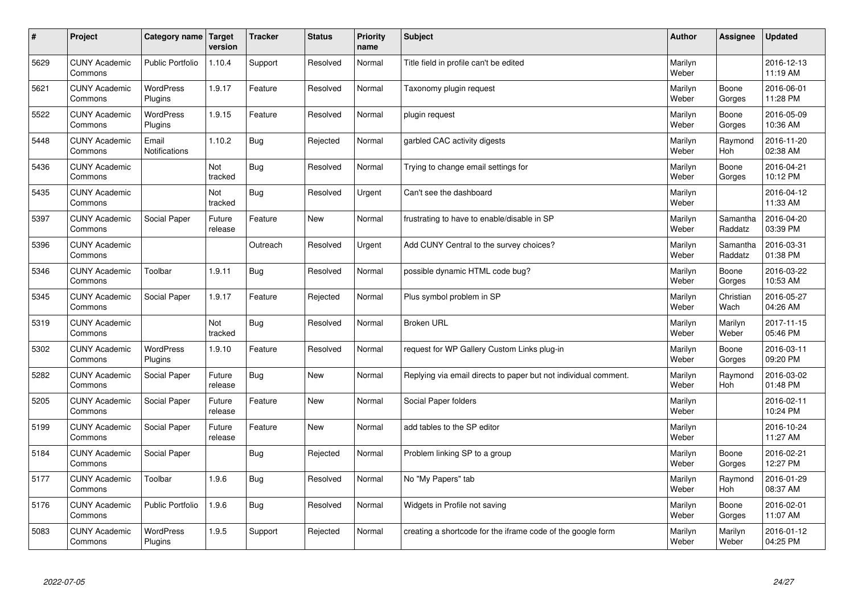| $\sharp$ | Project                         | Category name   Target      | version           | <b>Tracker</b> | <b>Status</b> | <b>Priority</b><br>name | <b>Subject</b>                                                  | <b>Author</b>    | Assignee              | <b>Updated</b>         |
|----------|---------------------------------|-----------------------------|-------------------|----------------|---------------|-------------------------|-----------------------------------------------------------------|------------------|-----------------------|------------------------|
| 5629     | <b>CUNY Academic</b><br>Commons | <b>Public Portfolio</b>     | 1.10.4            | Support        | Resolved      | Normal                  | Title field in profile can't be edited                          | Marilyn<br>Weber |                       | 2016-12-13<br>11:19 AM |
| 5621     | <b>CUNY Academic</b><br>Commons | <b>WordPress</b><br>Plugins | 1.9.17            | Feature        | Resolved      | Normal                  | Taxonomy plugin request                                         | Marilyn<br>Weber | Boone<br>Gorges       | 2016-06-01<br>11:28 PM |
| 5522     | <b>CUNY Academic</b><br>Commons | <b>WordPress</b><br>Plugins | 1.9.15            | Feature        | Resolved      | Normal                  | plugin request                                                  | Marilyn<br>Weber | Boone<br>Gorges       | 2016-05-09<br>10:36 AM |
| 5448     | <b>CUNY Academic</b><br>Commons | Email<br>Notifications      | 1.10.2            | Bug            | Rejected      | Normal                  | garbled CAC activity digests                                    | Marilyn<br>Weber | Raymond<br><b>Hoh</b> | 2016-11-20<br>02:38 AM |
| 5436     | <b>CUNY Academic</b><br>Commons |                             | Not<br>tracked    | Bug            | Resolved      | Normal                  | Trying to change email settings for                             | Marilyn<br>Weber | Boone<br>Gorges       | 2016-04-21<br>10:12 PM |
| 5435     | <b>CUNY Academic</b><br>Commons |                             | Not<br>tracked    | Bug            | Resolved      | Urgent                  | Can't see the dashboard                                         | Marilyn<br>Weber |                       | 2016-04-12<br>11:33 AM |
| 5397     | <b>CUNY Academic</b><br>Commons | Social Paper                | Future<br>release | Feature        | <b>New</b>    | Normal                  | frustrating to have to enable/disable in SP                     | Marilyn<br>Weber | Samantha<br>Raddatz   | 2016-04-20<br>03:39 PM |
| 5396     | <b>CUNY Academic</b><br>Commons |                             |                   | Outreach       | Resolved      | Urgent                  | Add CUNY Central to the survey choices?                         | Marilyn<br>Weber | Samantha<br>Raddatz   | 2016-03-31<br>01:38 PM |
| 5346     | <b>CUNY Academic</b><br>Commons | Toolbar                     | 1.9.11            | Bug            | Resolved      | Normal                  | possible dynamic HTML code bug?                                 | Marilyn<br>Weber | Boone<br>Gorges       | 2016-03-22<br>10:53 AM |
| 5345     | <b>CUNY Academic</b><br>Commons | Social Paper                | 1.9.17            | Feature        | Rejected      | Normal                  | Plus symbol problem in SP                                       | Marilyn<br>Weber | Christian<br>Wach     | 2016-05-27<br>04:26 AM |
| 5319     | <b>CUNY Academic</b><br>Commons |                             | Not<br>tracked    | Bug            | Resolved      | Normal                  | <b>Broken URL</b>                                               | Marilyn<br>Weber | Marilyn<br>Weber      | 2017-11-15<br>05:46 PM |
| 5302     | <b>CUNY Academic</b><br>Commons | <b>WordPress</b><br>Plugins | 1.9.10            | Feature        | Resolved      | Normal                  | request for WP Gallery Custom Links plug-in                     | Marilyn<br>Weber | Boone<br>Gorges       | 2016-03-11<br>09:20 PM |
| 5282     | <b>CUNY Academic</b><br>Commons | Social Paper                | Future<br>release | Bug            | <b>New</b>    | Normal                  | Replying via email directs to paper but not individual comment. | Marilyn<br>Weber | Raymond<br>Hoh        | 2016-03-02<br>01:48 PM |
| 5205     | <b>CUNY Academic</b><br>Commons | Social Paper                | Future<br>release | Feature        | <b>New</b>    | Normal                  | Social Paper folders                                            | Marilyn<br>Weber |                       | 2016-02-11<br>10:24 PM |
| 5199     | <b>CUNY Academic</b><br>Commons | Social Paper                | Future<br>release | Feature        | <b>New</b>    | Normal                  | add tables to the SP editor                                     | Marilyn<br>Weber |                       | 2016-10-24<br>11:27 AM |
| 5184     | <b>CUNY Academic</b><br>Commons | Social Paper                |                   | Bug            | Rejected      | Normal                  | Problem linking SP to a group                                   | Marilyn<br>Weber | Boone<br>Gorges       | 2016-02-21<br>12:27 PM |
| 5177     | <b>CUNY Academic</b><br>Commons | Toolbar                     | 1.9.6             | Bug            | Resolved      | Normal                  | No "My Papers" tab                                              | Marilyn<br>Weber | Raymond<br><b>Hoh</b> | 2016-01-29<br>08:37 AM |
| 5176     | <b>CUNY Academic</b><br>Commons | <b>Public Portfolio</b>     | 1.9.6             | Bug            | Resolved      | Normal                  | Widgets in Profile not saving                                   | Marilyn<br>Weber | Boone<br>Gorges       | 2016-02-01<br>11:07 AM |
| 5083     | <b>CUNY Academic</b><br>Commons | <b>WordPress</b><br>Plugins | 1.9.5             | Support        | Rejected      | Normal                  | creating a shortcode for the iframe code of the google form     | Marilyn<br>Weber | Marilyn<br>Weber      | 2016-01-12<br>04:25 PM |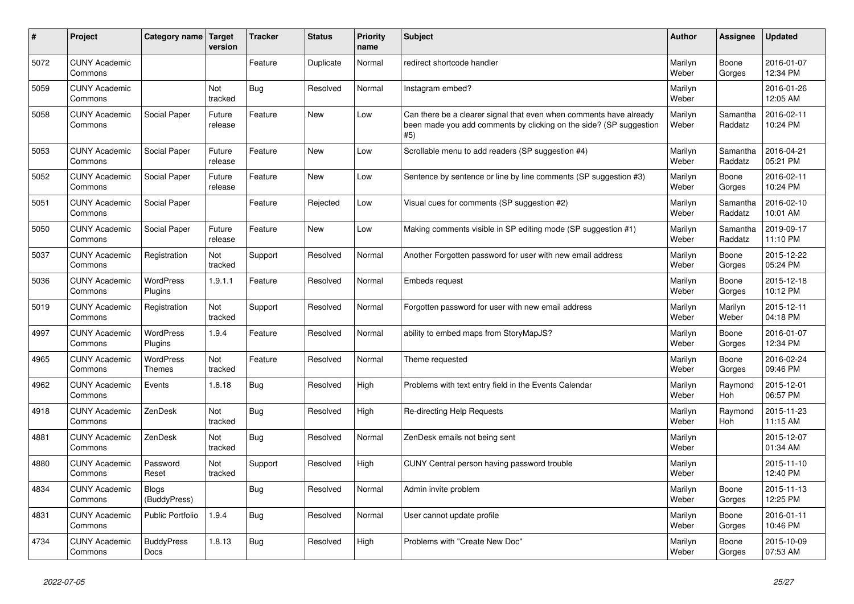| #    | Project                         | Category name Target             | version           | <b>Tracker</b> | <b>Status</b> | <b>Priority</b><br>name | <b>Subject</b>                                                                                                                                  | <b>Author</b>    | Assignee              | <b>Updated</b>         |
|------|---------------------------------|----------------------------------|-------------------|----------------|---------------|-------------------------|-------------------------------------------------------------------------------------------------------------------------------------------------|------------------|-----------------------|------------------------|
| 5072 | <b>CUNY Academic</b><br>Commons |                                  |                   | Feature        | Duplicate     | Normal                  | redirect shortcode handler                                                                                                                      | Marilyn<br>Weber | Boone<br>Gorges       | 2016-01-07<br>12:34 PM |
| 5059 | <b>CUNY Academic</b><br>Commons |                                  | Not<br>tracked    | Bug            | Resolved      | Normal                  | Instagram embed?                                                                                                                                | Marilyn<br>Weber |                       | 2016-01-26<br>12:05 AM |
| 5058 | <b>CUNY Academic</b><br>Commons | Social Paper                     | Future<br>release | Feature        | <b>New</b>    | Low                     | Can there be a clearer signal that even when comments have already<br>been made you add comments by clicking on the side? (SP suggestion<br>#5) | Marilyn<br>Weber | Samantha<br>Raddatz   | 2016-02-11<br>10:24 PM |
| 5053 | <b>CUNY Academic</b><br>Commons | Social Paper                     | Future<br>release | Feature        | <b>New</b>    | Low                     | Scrollable menu to add readers (SP suggestion #4)                                                                                               | Marilyn<br>Weber | Samantha<br>Raddatz   | 2016-04-21<br>05:21 PM |
| 5052 | <b>CUNY Academic</b><br>Commons | Social Paper                     | Future<br>release | Feature        | <b>New</b>    | Low                     | Sentence by sentence or line by line comments (SP suggestion #3)                                                                                | Marilyn<br>Weber | Boone<br>Gorges       | 2016-02-11<br>10:24 PM |
| 5051 | <b>CUNY Academic</b><br>Commons | Social Paper                     |                   | Feature        | Rejected      | Low                     | Visual cues for comments (SP suggestion #2)                                                                                                     | Marilyn<br>Weber | Samantha<br>Raddatz   | 2016-02-10<br>10:01 AM |
| 5050 | <b>CUNY Academic</b><br>Commons | Social Paper                     | Future<br>release | Feature        | <b>New</b>    | Low                     | Making comments visible in SP editing mode (SP suggestion #1)                                                                                   | Marilyn<br>Weber | Samantha<br>Raddatz   | 2019-09-17<br>11:10 PM |
| 5037 | <b>CUNY Academic</b><br>Commons | Registration                     | Not<br>tracked    | Support        | Resolved      | Normal                  | Another Forgotten password for user with new email address                                                                                      | Marilyn<br>Weber | Boone<br>Gorges       | 2015-12-22<br>05:24 PM |
| 5036 | <b>CUNY Academic</b><br>Commons | WordPress<br>Plugins             | 1.9.1.1           | Feature        | Resolved      | Normal                  | <b>Embeds request</b>                                                                                                                           | Marilyn<br>Weber | Boone<br>Gorges       | 2015-12-18<br>10:12 PM |
| 5019 | <b>CUNY Academic</b><br>Commons | Registration                     | Not<br>tracked    | Support        | Resolved      | Normal                  | Forgotten password for user with new email address                                                                                              | Marilyn<br>Weber | Marilyn<br>Weber      | 2015-12-11<br>04:18 PM |
| 4997 | <b>CUNY Academic</b><br>Commons | <b>WordPress</b><br>Plugins      | 1.9.4             | Feature        | Resolved      | Normal                  | ability to embed maps from StoryMapJS?                                                                                                          | Marilyn<br>Weber | Boone<br>Gorges       | 2016-01-07<br>12:34 PM |
| 4965 | <b>CUNY Academic</b><br>Commons | WordPress<br><b>Themes</b>       | Not<br>tracked    | Feature        | Resolved      | Normal                  | Theme requested                                                                                                                                 | Marilyn<br>Weber | Boone<br>Gorges       | 2016-02-24<br>09:46 PM |
| 4962 | <b>CUNY Academic</b><br>Commons | Events                           | 1.8.18            | Bug            | Resolved      | High                    | Problems with text entry field in the Events Calendar                                                                                           | Marilyn<br>Weber | Raymond<br><b>Hoh</b> | 2015-12-01<br>06:57 PM |
| 4918 | <b>CUNY Academic</b><br>Commons | ZenDesk                          | Not<br>tracked    | Bug            | Resolved      | High                    | Re-directing Help Requests                                                                                                                      | Marilyn<br>Weber | Raymond<br><b>Hoh</b> | 2015-11-23<br>11:15 AM |
| 4881 | <b>CUNY Academic</b><br>Commons | ZenDesk                          | Not<br>tracked    | Bug            | Resolved      | Normal                  | ZenDesk emails not being sent                                                                                                                   | Marilyn<br>Weber |                       | 2015-12-07<br>01:34 AM |
| 4880 | <b>CUNY Academic</b><br>Commons | Password<br>Reset                | Not<br>tracked    | Support        | Resolved      | High                    | CUNY Central person having password trouble                                                                                                     | Marilyn<br>Weber |                       | 2015-11-10<br>12:40 PM |
| 4834 | <b>CUNY Academic</b><br>Commons | <b>Blogs</b><br>(BuddyPress)     |                   | Bug            | Resolved      | Normal                  | Admin invite problem                                                                                                                            | Marilyn<br>Weber | Boone<br>Gorges       | 2015-11-13<br>12:25 PM |
| 4831 | <b>CUNY Academic</b><br>Commons | Public Portfolio                 | 1.9.4             | <b>Bug</b>     | Resolved      | Normal                  | User cannot update profile                                                                                                                      | Marilyn<br>Weber | Boone<br>Gorges       | 2016-01-11<br>10:46 PM |
| 4734 | <b>CUNY Academic</b><br>Commons | <b>BuddyPress</b><br><b>Docs</b> | 1.8.13            | <b>Bug</b>     | Resolved      | High                    | Problems with "Create New Doc"                                                                                                                  | Marilyn<br>Weber | Boone<br>Gorges       | 2015-10-09<br>07:53 AM |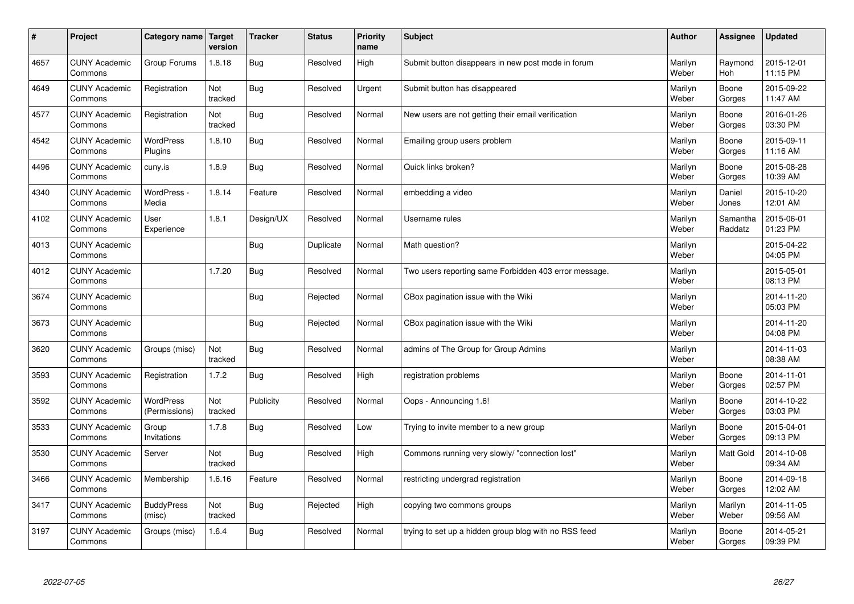| $\vert$ # | Project                         | Category name   Target      | version        | <b>Tracker</b> | <b>Status</b> | <b>Priority</b><br>name | <b>Subject</b>                                        | <b>Author</b>    | Assignee              | <b>Updated</b>         |
|-----------|---------------------------------|-----------------------------|----------------|----------------|---------------|-------------------------|-------------------------------------------------------|------------------|-----------------------|------------------------|
| 4657      | <b>CUNY Academic</b><br>Commons | Group Forums                | 1.8.18         | Bug            | Resolved      | High                    | Submit button disappears in new post mode in forum    | Marilyn<br>Weber | Raymond<br><b>Hoh</b> | 2015-12-01<br>11:15 PM |
| 4649      | <b>CUNY Academic</b><br>Commons | Registration                | Not<br>tracked | Bug            | Resolved      | Urgent                  | Submit button has disappeared                         | Marilyn<br>Weber | Boone<br>Gorges       | 2015-09-22<br>11:47 AM |
| 4577      | <b>CUNY Academic</b><br>Commons | Registration                | Not<br>tracked | Bug            | Resolved      | Normal                  | New users are not getting their email verification    | Marilyn<br>Weber | Boone<br>Gorges       | 2016-01-26<br>03:30 PM |
| 4542      | <b>CUNY Academic</b><br>Commons | <b>WordPress</b><br>Plugins | 1.8.10         | Bug            | Resolved      | Normal                  | Emailing group users problem                          | Marilyn<br>Weber | Boone<br>Gorges       | 2015-09-11<br>11:16 AM |
| 4496      | <b>CUNY Academic</b><br>Commons | cuny.is                     | 1.8.9          | <b>Bug</b>     | Resolved      | Normal                  | Quick links broken?                                   | Marilyn<br>Weber | Boone<br>Gorges       | 2015-08-28<br>10:39 AM |
| 4340      | <b>CUNY Academic</b><br>Commons | WordPress -<br>Media        | 1.8.14         | Feature        | Resolved      | Normal                  | embedding a video                                     | Marilyn<br>Weber | Daniel<br>Jones       | 2015-10-20<br>12:01 AM |
| 4102      | <b>CUNY Academic</b><br>Commons | User<br>Experience          | 1.8.1          | Design/UX      | Resolved      | Normal                  | Username rules                                        | Marilyn<br>Weber | Samantha<br>Raddatz   | 2015-06-01<br>01:23 PM |
| 4013      | <b>CUNY Academic</b><br>Commons |                             |                | Bug            | Duplicate     | Normal                  | Math question?                                        | Marilyn<br>Weber |                       | 2015-04-22<br>04:05 PM |
| 4012      | <b>CUNY Academic</b><br>Commons |                             | 1.7.20         | <b>Bug</b>     | Resolved      | Normal                  | Two users reporting same Forbidden 403 error message. | Marilyn<br>Weber |                       | 2015-05-01<br>08:13 PM |
| 3674      | <b>CUNY Academic</b><br>Commons |                             |                | Bug            | Rejected      | Normal                  | CBox pagination issue with the Wiki                   | Marilyn<br>Weber |                       | 2014-11-20<br>05:03 PM |
| 3673      | <b>CUNY Academic</b><br>Commons |                             |                | Bug            | Rejected      | Normal                  | CBox pagination issue with the Wiki                   | Marilyn<br>Weber |                       | 2014-11-20<br>04:08 PM |
| 3620      | <b>CUNY Academic</b><br>Commons | Groups (misc)               | Not<br>tracked | Bug            | Resolved      | Normal                  | admins of The Group for Group Admins                  | Marilyn<br>Weber |                       | 2014-11-03<br>08:38 AM |
| 3593      | <b>CUNY Academic</b><br>Commons | Registration                | 1.7.2          | Bug            | Resolved      | High                    | registration problems                                 | Marilyn<br>Weber | Boone<br>Gorges       | 2014-11-01<br>02:57 PM |
| 3592      | <b>CUNY Academic</b><br>Commons | WordPress<br>(Permissions)  | Not<br>tracked | Publicity      | Resolved      | Normal                  | Oops - Announcing 1.6!                                | Marilyn<br>Weber | Boone<br>Gorges       | 2014-10-22<br>03:03 PM |
| 3533      | <b>CUNY Academic</b><br>Commons | Group<br>Invitations        | 1.7.8          | Bug            | Resolved      | Low                     | Trying to invite member to a new group                | Marilyn<br>Weber | Boone<br>Gorges       | 2015-04-01<br>09:13 PM |
| 3530      | <b>CUNY Academic</b><br>Commons | Server                      | Not<br>tracked | Bug            | Resolved      | High                    | Commons running very slowly/ "connection lost"        | Marilyn<br>Weber | <b>Matt Gold</b>      | 2014-10-08<br>09:34 AM |
| 3466      | <b>CUNY Academic</b><br>Commons | Membership                  | 1.6.16         | Feature        | Resolved      | Normal                  | restricting undergrad registration                    | Marilyn<br>Weber | Boone<br>Gorges       | 2014-09-18<br>12:02 AM |
| 3417      | <b>CUNY Academic</b><br>Commons | <b>BuddyPress</b><br>(misc) | Not<br>tracked | Bug            | Rejected      | High                    | copying two commons groups                            | Marilyn<br>Weber | Marilyn<br>Weber      | 2014-11-05<br>09:56 AM |
| 3197      | <b>CUNY Academic</b><br>Commons | Groups (misc)               | 1.6.4          | <b>Bug</b>     | Resolved      | Normal                  | trying to set up a hidden group blog with no RSS feed | Marilyn<br>Weber | Boone<br>Gorges       | 2014-05-21<br>09:39 PM |